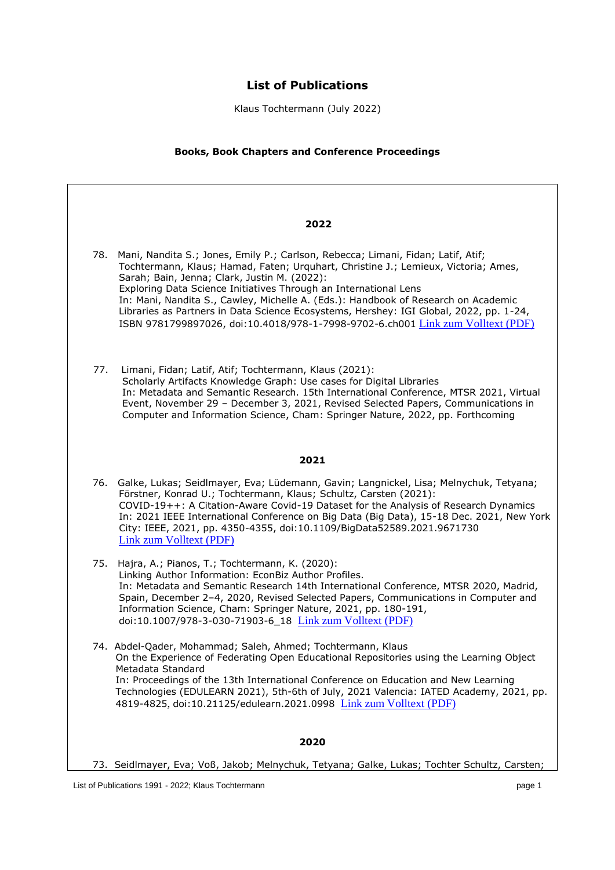# **List of Publications**

Klaus Tochtermann (July 2022)

# **Books, Book Chapters and Conference Proceedings**

|     | 2022                                                                                                                                                                                                                                                                                                                                                                                                                                                                                                                                                              |
|-----|-------------------------------------------------------------------------------------------------------------------------------------------------------------------------------------------------------------------------------------------------------------------------------------------------------------------------------------------------------------------------------------------------------------------------------------------------------------------------------------------------------------------------------------------------------------------|
|     | 78. Mani, Nandita S.; Jones, Emily P.; Carlson, Rebecca; Limani, Fidan; Latif, Atif;<br>Tochtermann, Klaus; Hamad, Faten; Urquhart, Christine J.; Lemieux, Victoria; Ames,<br>Sarah; Bain, Jenna; Clark, Justin M. (2022):<br>Exploring Data Science Initiatives Through an International Lens<br>In: Mani, Nandita S., Cawley, Michelle A. (Eds.): Handbook of Research on Academic<br>Libraries as Partners in Data Science Ecosystems, Hershey: IGI Global, 2022, pp. 1-24,<br>ISBN 9781799897026, doi:10.4018/978-1-7998-9702-6.ch001 Link zum Volltext (PDF) |
| 77. | Limani, Fidan; Latif, Atif; Tochtermann, Klaus (2021):<br>Scholarly Artifacts Knowledge Graph: Use cases for Digital Libraries<br>In: Metadata and Semantic Research. 15th International Conference, MTSR 2021, Virtual<br>Event, November 29 - December 3, 2021, Revised Selected Papers, Communications in<br>Computer and Information Science, Cham: Springer Nature, 2022, pp. Forthcoming                                                                                                                                                                    |
|     | 2021                                                                                                                                                                                                                                                                                                                                                                                                                                                                                                                                                              |
|     | 76. Galke, Lukas; Seidlmayer, Eva; Lüdemann, Gavin; Langnickel, Lisa; Melnychuk, Tetyana;<br>Förstner, Konrad U.; Tochtermann, Klaus; Schultz, Carsten (2021):<br>COVID-19++: A Citation-Aware Covid-19 Dataset for the Analysis of Research Dynamics<br>In: 2021 IEEE International Conference on Big Data (Big Data), 15-18 Dec. 2021, New York<br>City: IEEE, 2021, pp. 4350-4355, doi:10.1109/BigData52589.2021.9671730<br><b>Link zum Volltext (PDF)</b>                                                                                                     |
|     | 75. Hajra, A.; Pianos, T.; Tochtermann, K. (2020):<br>Linking Author Information: EconBiz Author Profiles.<br>In: Metadata and Semantic Research 14th International Conference, MTSR 2020, Madrid,<br>Spain, December 2-4, 2020, Revised Selected Papers, Communications in Computer and<br>Information Science, Cham: Springer Nature, 2021, pp. 180-191,<br>doi:10.1007/978-3-030-71903-6 18 Link zum Volltext (PDF)                                                                                                                                            |
|     | 74. Abdel-Qader, Mohammad; Saleh, Ahmed; Tochtermann, Klaus<br>On the Experience of Federating Open Educational Repositories using the Learning Object<br>Metadata Standard<br>In: Proceedings of the 13th International Conference on Education and New Learning<br>Technologies (EDULEARN 2021), 5th-6th of July, 2021 Valencia: IATED Academy, 2021, pp.<br>4819-4825, doi:10.21125/edulearn.2021.0998 Link zum Volltext (PDF)                                                                                                                                 |
|     | 2020                                                                                                                                                                                                                                                                                                                                                                                                                                                                                                                                                              |
|     | 73. Seidlmayer, Eva; Voß, Jakob; Melnychuk, Tetyana; Galke, Lukas; Tochter Schultz, Carsten;                                                                                                                                                                                                                                                                                                                                                                                                                                                                      |
|     | List of Publications 1991 - 2022; Klaus Tochtermann<br>page 1                                                                                                                                                                                                                                                                                                                                                                                                                                                                                                     |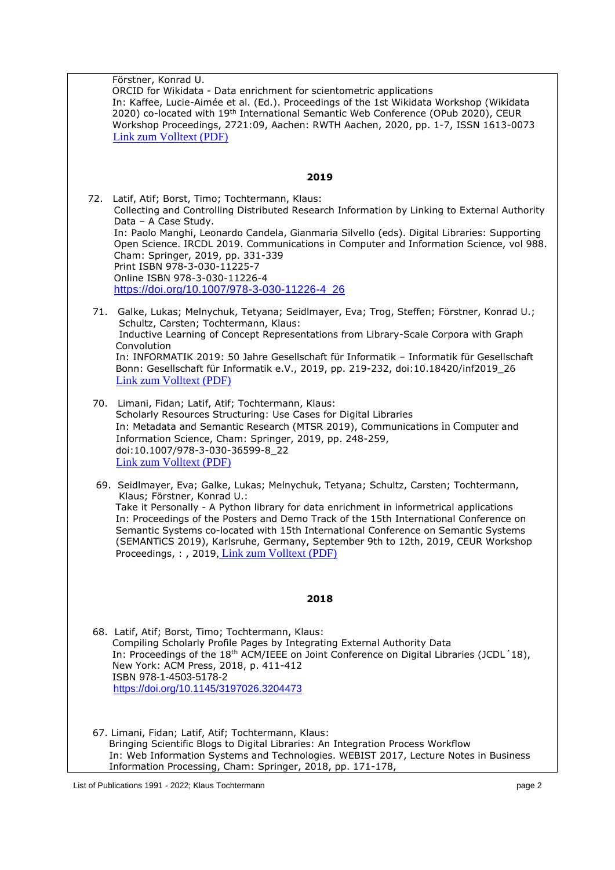| Förstner, Konrad U.<br>ORCID for Wikidata - Data enrichment for scientometric applications<br>In: Kaffee, Lucie-Aimée et al. (Ed.). Proceedings of the 1st Wikidata Workshop (Wikidata<br>2020) co-located with 19 <sup>th</sup> International Semantic Web Conference (OPub 2020), CEUR<br>Workshop Proceedings, 2721:09, Aachen: RWTH Aachen, 2020, pp. 1-7, ISSN 1613-0073<br>Link zum Volltext (PDF)                                                                                                                           |  |
|------------------------------------------------------------------------------------------------------------------------------------------------------------------------------------------------------------------------------------------------------------------------------------------------------------------------------------------------------------------------------------------------------------------------------------------------------------------------------------------------------------------------------------|--|
| 2019                                                                                                                                                                                                                                                                                                                                                                                                                                                                                                                               |  |
| 72. Latif, Atif; Borst, Timo; Tochtermann, Klaus:<br>Collecting and Controlling Distributed Research Information by Linking to External Authority<br>Data - A Case Study.<br>In: Paolo Manghi, Leonardo Candela, Gianmaria Silvello (eds). Digital Libraries: Supporting<br>Open Science. IRCDL 2019. Communications in Computer and Information Science, vol 988.<br>Cham: Springer, 2019, pp. 331-339<br>Print ISBN 978-3-030-11225-7<br>Online ISBN 978-3-030-11226-4<br>https://doi.org/10.1007/978-3-030-11226-4_26           |  |
| 71. Galke, Lukas; Melnychuk, Tetyana; Seidlmayer, Eva; Trog, Steffen; Förstner, Konrad U.;<br>Schultz, Carsten; Tochtermann, Klaus:<br>Inductive Learning of Concept Representations from Library-Scale Corpora with Graph<br>Convolution<br>In: INFORMATIK 2019: 50 Jahre Gesellschaft für Informatik - Informatik für Gesellschaft<br>Bonn: Gesellschaft für Informatik e.V., 2019, pp. 219-232, doi:10.18420/inf2019_26<br>Link zum Volltext (PDF)                                                                              |  |
| 70. Limani, Fidan; Latif, Atif; Tochtermann, Klaus:<br>Scholarly Resources Structuring: Use Cases for Digital Libraries<br>In: Metadata and Semantic Research (MTSR 2019), Communications in Computer and<br>Information Science, Cham: Springer, 2019, pp. 248-259,<br>doi:10.1007/978-3-030-36599-8_22<br><b>Link zum Volltext (PDF)</b>                                                                                                                                                                                         |  |
| 69. Seidlmayer, Eva; Galke, Lukas; Melnychuk, Tetyana; Schultz, Carsten; Tochtermann,<br>Klaus; Förstner, Konrad U.:<br>Take it Personally - A Python library for data enrichment in informetrical applications<br>In: Proceedings of the Posters and Demo Track of the 15th International Conference on<br>Semantic Systems co-located with 15th International Conference on Semantic Systems<br>(SEMANTICS 2019), Karlsruhe, Germany, September 9th to 12th, 2019, CEUR Workshop<br>Proceedings,:, 2019, Link zum Volltext (PDF) |  |
| 2018                                                                                                                                                                                                                                                                                                                                                                                                                                                                                                                               |  |
| 68. Latif, Atif; Borst, Timo; Tochtermann, Klaus:<br>Compiling Scholarly Profile Pages by Integrating External Authority Data<br>In: Proceedings of the 18 <sup>th</sup> ACM/IEEE on Joint Conference on Digital Libraries (JCDL'18),<br>New York: ACM Press, 2018, p. 411-412<br>ISBN 978-1-4503-5178-2<br>https://doi.org/10.1145/3197026.3204473                                                                                                                                                                                |  |
| 67. Limani, Fidan; Latif, Atif; Tochtermann, Klaus:<br>Bringing Scientific Blogs to Digital Libraries: An Integration Process Workflow<br>In: Web Information Systems and Technologies. WEBIST 2017, Lecture Notes in Business<br>Information Processing, Cham: Springer, 2018, pp. 171-178,                                                                                                                                                                                                                                       |  |
| List of Publications 1991 - 2022; Klaus Tochtermann<br>page 2                                                                                                                                                                                                                                                                                                                                                                                                                                                                      |  |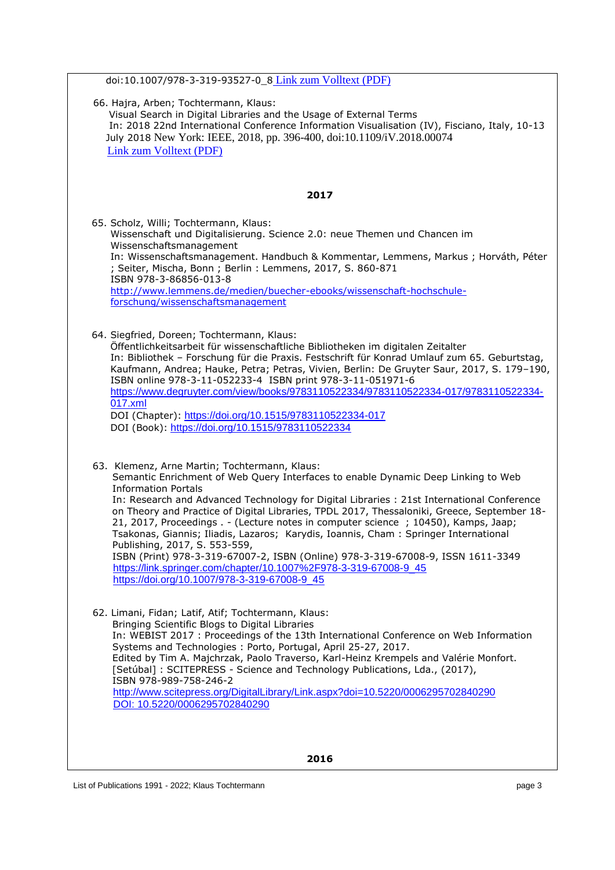| doi:10.1007/978-3-319-93527-0_8 Link zum Volltext (PDF)                                                                                                                                                                                                                                                                                                                                                                                                                                                                                                                                                                                                                                                                                                                              |
|--------------------------------------------------------------------------------------------------------------------------------------------------------------------------------------------------------------------------------------------------------------------------------------------------------------------------------------------------------------------------------------------------------------------------------------------------------------------------------------------------------------------------------------------------------------------------------------------------------------------------------------------------------------------------------------------------------------------------------------------------------------------------------------|
| 66. Hajra, Arben; Tochtermann, Klaus:<br>Visual Search in Digital Libraries and the Usage of External Terms<br>In: 2018 22nd International Conference Information Visualisation (IV), Fisciano, Italy, 10-13<br>July 2018 New York: IEEE, 2018, pp. 396-400, doi:10.1109/iV.2018.00074<br>Link zum Volltext (PDF)                                                                                                                                                                                                                                                                                                                                                                                                                                                                    |
| 2017                                                                                                                                                                                                                                                                                                                                                                                                                                                                                                                                                                                                                                                                                                                                                                                 |
| 65. Scholz, Willi; Tochtermann, Klaus:<br>Wissenschaft und Digitalisierung. Science 2.0: neue Themen und Chancen im<br>Wissenschaftsmanagement<br>In: Wissenschaftsmanagement. Handbuch & Kommentar, Lemmens, Markus; Horváth, Péter<br>; Seiter, Mischa, Bonn ; Berlin : Lemmens, 2017, S. 860-871<br>ISBN 978-3-86856-013-8<br>http://www.lemmens.de/medien/buecher-ebooks/wissenschaft-hochschule-<br>forschung/wissenschaftsmanagement                                                                                                                                                                                                                                                                                                                                           |
| 64. Siegfried, Doreen; Tochtermann, Klaus:<br>Öffentlichkeitsarbeit für wissenschaftliche Bibliotheken im digitalen Zeitalter<br>In: Bibliothek - Forschung für die Praxis. Festschrift für Konrad Umlauf zum 65. Geburtstag,<br>Kaufmann, Andrea; Hauke, Petra; Petras, Vivien, Berlin: De Gruyter Saur, 2017, S. 179-190,<br>ISBN online 978-3-11-052233-4 ISBN print 978-3-11-051971-6<br>https://www.degruyter.com/view/books/9783110522334/9783110522334-017/9783110522334-<br>017.xml<br>DOI (Chapter): https://doi.org/10.1515/9783110522334-017<br>DOI (Book): https://doi.org/10.1515/9783110522334                                                                                                                                                                         |
| 63. Klemenz, Arne Martin; Tochtermann, Klaus:<br>Semantic Enrichment of Web Query Interfaces to enable Dynamic Deep Linking to Web<br><b>Information Portals</b><br>In: Research and Advanced Technology for Digital Libraries : 21st International Conference<br>on Theory and Practice of Digital Libraries, TPDL 2017, Thessaloniki, Greece, September 18-<br>21, 2017, Proceedings . - (Lecture notes in computer science ; 10450), Kamps, Jaap;<br>Tsakonas, Giannis; Iliadis, Lazaros; Karydis, Ioannis, Cham : Springer International<br>Publishing, 2017, S. 553-559,<br>ISBN (Print) 978-3-319-67007-2, ISBN (Online) 978-3-319-67008-9, ISSN 1611-3349<br>https://link.springer.com/chapter/10.1007%2F978-3-319-67008-9_45<br>https://doi.org/10.1007/978-3-319-67008-9 45 |
| 62. Limani, Fidan; Latif, Atif; Tochtermann, Klaus:<br>Bringing Scientific Blogs to Digital Libraries<br>In: WEBIST 2017 : Proceedings of the 13th International Conference on Web Information<br>Systems and Technologies: Porto, Portugal, April 25-27, 2017.<br>Edited by Tim A. Majchrzak, Paolo Traverso, Karl-Heinz Krempels and Valérie Monfort.<br>[Setúbal]: SCITEPRESS - Science and Technology Publications, Lda., (2017),<br>ISBN 978-989-758-246-2<br>http://www.scitepress.org/DigitalLibrary/Link.aspx?doi=10.5220/0006295702840290<br>DOI: 10.5220/0006295702840290                                                                                                                                                                                                  |
| 2016                                                                                                                                                                                                                                                                                                                                                                                                                                                                                                                                                                                                                                                                                                                                                                                 |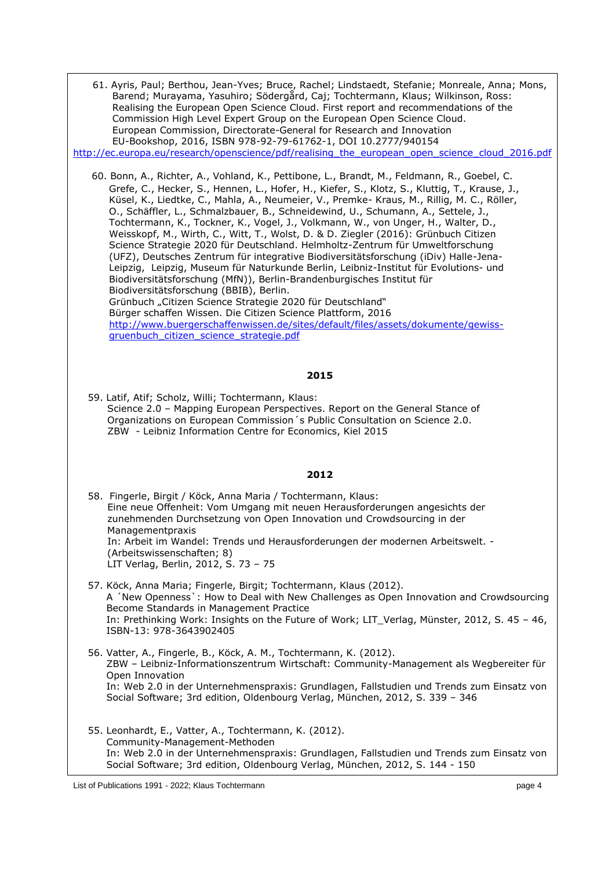| 61. Ayris, Paul; Berthou, Jean-Yves; Bruce, Rachel; Lindstaedt, Stefanie; Monreale, Anna; Mons,<br>Barend; Murayama, Yasuhiro; Södergård, Caj; Tochtermann, Klaus; Wilkinson, Ross:<br>Realising the European Open Science Cloud. First report and recommendations of the<br>Commission High Level Expert Group on the European Open Science Cloud.<br>European Commission, Directorate-General for Research and Innovation<br>EU-Bookshop, 2016, ISBN 978-92-79-61762-1, DOI 10.2777/940154<br>http://ec.europa.eu/research/openscience/pdf/realising the european open science cloud 2016.pdf                                                                                                                                                                                                                                                                                                                                                                                                                                                                                                                                                                                                            |
|------------------------------------------------------------------------------------------------------------------------------------------------------------------------------------------------------------------------------------------------------------------------------------------------------------------------------------------------------------------------------------------------------------------------------------------------------------------------------------------------------------------------------------------------------------------------------------------------------------------------------------------------------------------------------------------------------------------------------------------------------------------------------------------------------------------------------------------------------------------------------------------------------------------------------------------------------------------------------------------------------------------------------------------------------------------------------------------------------------------------------------------------------------------------------------------------------------|
| 60. Bonn, A., Richter, A., Vohland, K., Pettibone, L., Brandt, M., Feldmann, R., Goebel, C.<br>Grefe, C., Hecker, S., Hennen, L., Hofer, H., Kiefer, S., Klotz, S., Kluttig, T., Krause, J.,<br>Küsel, K., Liedtke, C., Mahla, A., Neumeier, V., Premke- Kraus, M., Rillig, M. C., Röller,<br>O., Schäffler, L., Schmalzbauer, B., Schneidewind, U., Schumann, A., Settele, J.,<br>Tochtermann, K., Tockner, K., Vogel, J., Volkmann, W., von Unger, H., Walter, D.,<br>Weisskopf, M., Wirth, C., Witt, T., Wolst, D. & D. Ziegler (2016): Grünbuch Citizen<br>Science Strategie 2020 für Deutschland. Helmholtz-Zentrum für Umweltforschung<br>(UFZ), Deutsches Zentrum für integrative Biodiversitätsforschung (iDiv) Halle-Jena-<br>Leipzig, Leipzig, Museum für Naturkunde Berlin, Leibniz-Institut für Evolutions- und<br>Biodiversitätsforschung (MfN)), Berlin-Brandenburgisches Institut für<br>Biodiversitätsforschung (BBIB), Berlin.<br>Grünbuch "Citizen Science Strategie 2020 für Deutschland"<br>Bürger schaffen Wissen. Die Citizen Science Plattform, 2016<br>http://www.buergerschaffenwissen.de/sites/default/files/assets/dokumente/gewiss-<br>gruenbuch citizen science strategie.pdf |
| 2015                                                                                                                                                                                                                                                                                                                                                                                                                                                                                                                                                                                                                                                                                                                                                                                                                                                                                                                                                                                                                                                                                                                                                                                                       |
| 59. Latif, Atif; Scholz, Willi; Tochtermann, Klaus:<br>Science 2.0 - Mapping European Perspectives. Report on the General Stance of<br>Organizations on European Commission's Public Consultation on Science 2.0.<br>ZBW - Leibniz Information Centre for Economics, Kiel 2015                                                                                                                                                                                                                                                                                                                                                                                                                                                                                                                                                                                                                                                                                                                                                                                                                                                                                                                             |
| 2012                                                                                                                                                                                                                                                                                                                                                                                                                                                                                                                                                                                                                                                                                                                                                                                                                                                                                                                                                                                                                                                                                                                                                                                                       |
| 58. Fingerle, Birgit / Köck, Anna Maria / Tochtermann, Klaus:<br>Eine neue Offenheit: Vom Umgang mit neuen Herausforderungen angesichts der<br>zunehmenden Durchsetzung von Open Innovation und Crowdsourcing in der<br>Managementpraxis<br>In: Arbeit im Wandel: Trends und Herausforderungen der modernen Arbeitswelt.                                                                                                                                                                                                                                                                                                                                                                                                                                                                                                                                                                                                                                                                                                                                                                                                                                                                                   |
| (Arbeitswissenschaften; 8)<br>LIT Verlag, Berlin, 2012, S. 73 - 75                                                                                                                                                                                                                                                                                                                                                                                                                                                                                                                                                                                                                                                                                                                                                                                                                                                                                                                                                                                                                                                                                                                                         |
| 57. Köck, Anna Maria; Fingerle, Birgit; Tochtermann, Klaus (2012).<br>A 'New Openness': How to Deal with New Challenges as Open Innovation and Crowdsourcing<br>Become Standards in Management Practice<br>In: Prethinking Work: Insights on the Future of Work; LIT_Verlag, Münster, 2012, S. 45 - 46,<br>ISBN-13: 978-3643902405                                                                                                                                                                                                                                                                                                                                                                                                                                                                                                                                                                                                                                                                                                                                                                                                                                                                         |
| 56. Vatter, A., Fingerle, B., Köck, A. M., Tochtermann, K. (2012).<br>ZBW - Leibniz-Informationszentrum Wirtschaft: Community-Management als Wegbereiter für<br>Open Innovation<br>In: Web 2.0 in der Unternehmenspraxis: Grundlagen, Fallstudien und Trends zum Einsatz von<br>Social Software; 3rd edition, Oldenbourg Verlag, München, 2012, S. 339 - 346                                                                                                                                                                                                                                                                                                                                                                                                                                                                                                                                                                                                                                                                                                                                                                                                                                               |
| 55. Leonhardt, E., Vatter, A., Tochtermann, K. (2012).<br>Community-Management-Methoden<br>In: Web 2.0 in der Unternehmenspraxis: Grundlagen, Fallstudien und Trends zum Einsatz von<br>Social Software; 3rd edition, Oldenbourg Verlag, München, 2012, S. 144 - 150                                                                                                                                                                                                                                                                                                                                                                                                                                                                                                                                                                                                                                                                                                                                                                                                                                                                                                                                       |

List of Publications 1991 - 2022; Klaus Tochtermann page 4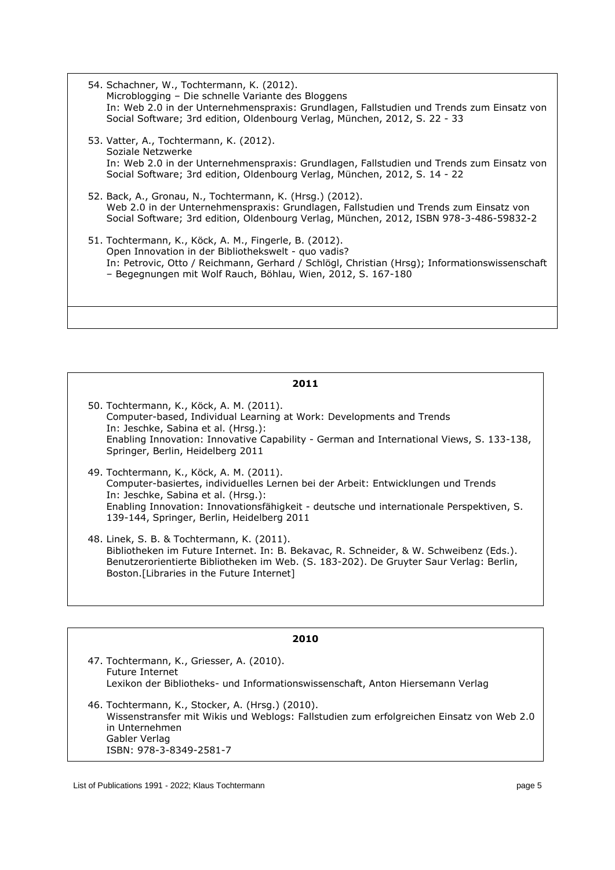- 54. Schachner, W., Tochtermann, K. (2012). Microblogging – Die schnelle Variante des Bloggens In: Web 2.0 in der Unternehmenspraxis: Grundlagen, Fallstudien und Trends zum Einsatz von Social Software; 3rd edition, Oldenbourg Verlag, München, 2012, S. 22 - 33
- 53. Vatter, A., Tochtermann, K. (2012). Soziale Netzwerke In: Web 2.0 in der Unternehmenspraxis: Grundlagen, Fallstudien und Trends zum Einsatz von Social Software; 3rd edition, Oldenbourg Verlag, München, 2012, S. 14 - 22
- 52. Back, A., Gronau, N., Tochtermann, K. (Hrsg.) (2012). Web 2.0 in der Unternehmenspraxis: Grundlagen, Fallstudien und Trends zum Einsatz von Social Software; 3rd edition, Oldenbourg Verlag, München, 2012, ISBN 978-3-486-59832-2
- 51. Tochtermann, K., Köck, A. M., Fingerle, B. (2012). Open Innovation in der Bibliothekswelt - quo vadis? In: Petrovic, Otto / Reichmann, Gerhard / Schlögl, Christian (Hrsg); Informationswissenschaft – Begegnungen mit Wolf Rauch, Böhlau, Wien, 2012, S. 167-180

- 50. Tochtermann, K., Köck, A. M. (2011). Computer-based, Individual Learning at Work: Developments and Trends In: Jeschke, Sabina et al. (Hrsg.): Enabling Innovation: Innovative Capability - German and International Views, S. 133-138, Springer, Berlin, Heidelberg 2011
- 49. Tochtermann, K., Köck, A. M. (2011). Computer-basiertes, individuelles Lernen bei der Arbeit: Entwicklungen und Trends In: Jeschke, Sabina et al. (Hrsg.): Enabling Innovation: Innovationsfähigkeit - deutsche und internationale Perspektiven, S. 139-144, Springer, Berlin, Heidelberg 2011
- 48. Linek, S. B. & Tochtermann, K. (2011). Bibliotheken im Future Internet. In: B. Bekavac, R. Schneider, & W. Schweibenz (Eds.). Benutzerorientierte Bibliotheken im Web. (S. 183-202). De Gruyter Saur Verlag: Berlin, Boston.[Libraries in the Future Internet]

| 2010                                                                                                                                                                                                       |
|------------------------------------------------------------------------------------------------------------------------------------------------------------------------------------------------------------|
| 47. Tochtermann, K., Griesser, A. (2010).<br><b>Future Internet</b><br>Lexikon der Bibliotheks- und Informationswissenschaft, Anton Hiersemann Verlag                                                      |
| 46. Tochtermann, K., Stocker, A. (Hrsg.) (2010).<br>Wissenstransfer mit Wikis und Weblogs: Fallstudien zum erfolgreichen Einsatz von Web 2.0<br>in Unternehmen<br>Gabler Verlag<br>ISBN: 978-3-8349-2581-7 |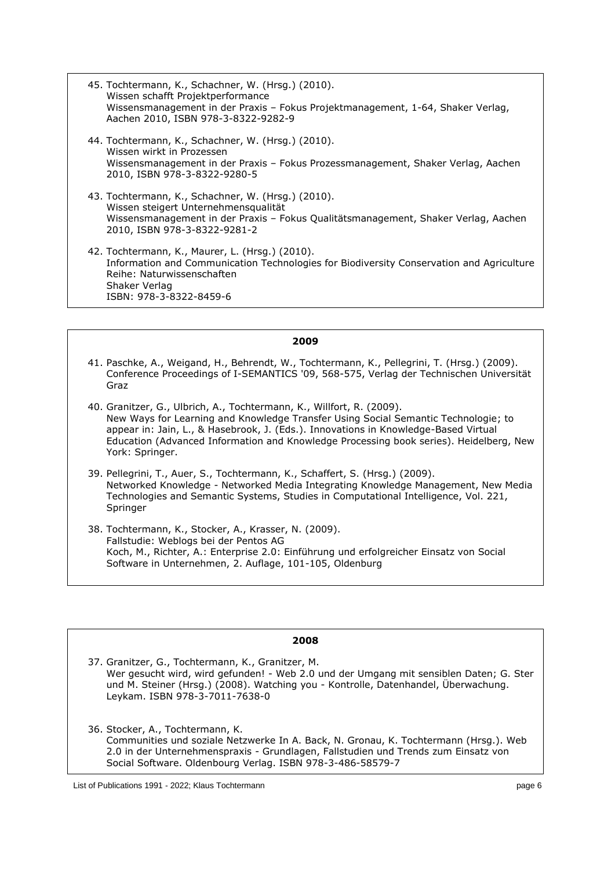- 45. Tochtermann, K., Schachner, W. (Hrsg.) (2010). Wissen schafft Projektperformance Wissensmanagement in der Praxis – Fokus Projektmanagement, 1-64, Shaker Verlag, Aachen 2010, ISBN 978-3-8322-9282-9
- 44. Tochtermann, K., Schachner, W. (Hrsg.) (2010). Wissen wirkt in Prozessen Wissensmanagement in der Praxis – Fokus Prozessmanagement, Shaker Verlag, Aachen 2010, ISBN 978-3-8322-9280-5
- 43. Tochtermann, K., Schachner, W. (Hrsg.) (2010). Wissen steigert Unternehmensqualität Wissensmanagement in der Praxis – Fokus Qualitätsmanagement, Shaker Verlag, Aachen 2010, ISBN 978-3-8322-9281-2
- 42. Tochtermann, K., Maurer, L. (Hrsg.) (2010). Information and Communication Technologies for Biodiversity Conservation and Agriculture Reihe: Naturwissenschaften Shaker Verlag ISBN: 978-3-8322-8459-6

- 41. Paschke, A., Weigand, H., Behrendt, W., Tochtermann, K., Pellegrini, T. (Hrsg.) (2009). Conference Proceedings of I-SEMANTICS '09, 568-575, Verlag der Technischen Universität Graz
- 40. Granitzer, G., Ulbrich, A., Tochtermann, K., Willfort, R. (2009). New Ways for Learning and Knowledge Transfer Using Social Semantic Technologie; to appear in: Jain, L., & Hasebrook, J. (Eds.). Innovations in Knowledge-Based Virtual Education (Advanced Information and Knowledge Processing book series). Heidelberg, New York: Springer.
- 39. Pellegrini, T., Auer, S., Tochtermann, K., Schaffert, S. (Hrsg.) (2009). Networked Knowledge - Networked Media Integrating Knowledge Management, New Media Technologies and Semantic Systems, Studies in Computational Intelligence, Vol. 221, Springer
- 38. Tochtermann, K., Stocker, A., Krasser, N. (2009). Fallstudie: Weblogs bei der Pentos AG Koch, M., Richter, A.: Enterprise 2.0: Einführung und erfolgreicher Einsatz von Social Software in Unternehmen, 2. Auflage, 101-105, Oldenburg

## **2008**

37. Granitzer, G., Tochtermann, K., Granitzer, M. Wer gesucht wird, wird gefunden! - Web 2.0 und der Umgang mit sensiblen Daten; G. Ster und M. Steiner (Hrsg.) (2008). Watching you - Kontrolle, Datenhandel, Überwachung. Leykam. ISBN 978-3-7011-7638-0

36. Stocker, A., Tochtermann, K. Communities und soziale Netzwerke In A. Back, N. Gronau, K. Tochtermann (Hrsg.). Web 2.0 in der Unternehmenspraxis - Grundlagen, Fallstudien und Trends zum Einsatz von Social Software. Oldenbourg Verlag. ISBN 978-3-486-58579-7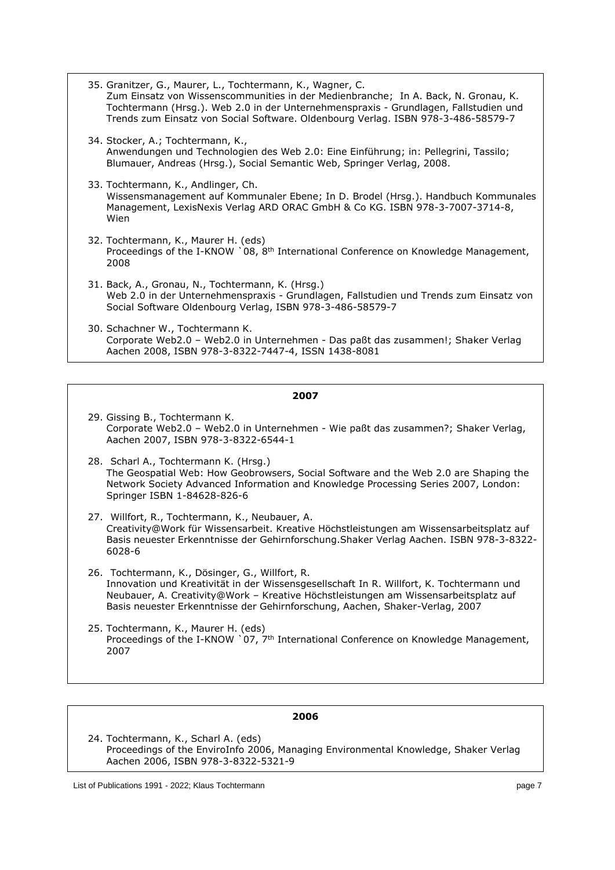35. Granitzer, G., Maurer, L., Tochtermann, K., Wagner, C. Zum Einsatz von Wissenscommunities in der Medienbranche; In A. Back, N. Gronau, K. Tochtermann (Hrsg.). Web 2.0 in der Unternehmenspraxis - Grundlagen, Fallstudien und Trends zum Einsatz von Social Software. Oldenbourg Verlag. ISBN 978-3-486-58579-7 34. Stocker, A.; Tochtermann, K., Anwendungen und Technologien des Web 2.0: Eine Einführung; in: Pellegrini, Tassilo; Blumauer, Andreas (Hrsg.), Social Semantic Web, Springer Verlag, 2008. 33. Tochtermann, K., Andlinger, Ch. Wissensmanagement auf Kommunaler Ebene; In D. Brodel (Hrsg.). Handbuch Kommunales Management, LexisNexis Verlag ARD ORAC GmbH & Co KG. ISBN 978-3-7007-3714-8, Wien 32. Tochtermann, K., Maurer H. (eds) Proceedings of the I-KNOW `08, 8<sup>th</sup> International Conference on Knowledge Management, 2008 31. Back, A., Gronau, N., Tochtermann, K. (Hrsg.) Web 2.0 in der Unternehmenspraxis - Grundlagen, Fallstudien und Trends zum Einsatz von Social Software Oldenbourg Verlag, ISBN 978-3-486-58579-7 30. Schachner W., Tochtermann K. Corporate Web2.0 – Web2.0 in Unternehmen - Das paßt das zusammen!; Shaker Verlag Aachen 2008, ISBN 978-3-8322-7447-4, ISSN 1438-8081

#### **2007**

- 29. Gissing B., Tochtermann K. Corporate Web2.0 – Web2.0 in Unternehmen - Wie paßt das zusammen?; Shaker Verlag, Aachen 2007, ISBN 978-3-8322-6544-1
- 28. Scharl A., Tochtermann K. (Hrsg.) The Geospatial Web: How Geobrowsers, Social Software and the Web 2.0 are Shaping the Network Society Advanced Information and Knowledge Processing Series 2007, London: Springer ISBN 1-84628-826-6
- 27. Willfort, R., Tochtermann, K., Neubauer, A. Creativity@Work für Wissensarbeit. Kreative Höchstleistungen am Wissensarbeitsplatz auf Basis neuester Erkenntnisse der Gehirnforschung.Shaker Verlag Aachen. ISBN 978-3-8322- 6028-6
- 26. Tochtermann, K., Dösinger, G., Willfort, R. Innovation und Kreativität in der Wissensgesellschaft In R. Willfort, K. Tochtermann und Neubauer, A. Creativity@Work – Kreative Höchstleistungen am Wissensarbeitsplatz auf Basis neuester Erkenntnisse der Gehirnforschung, Aachen, Shaker-Verlag, 2007
- 25. Tochtermann, K., Maurer H. (eds) Proceedings of the I-KNOW  $\degree$ 07, 7<sup>th</sup> International Conference on Knowledge Management, 2007

#### **2006**

24. Tochtermann, K., Scharl A. (eds) Proceedings of the EnviroInfo 2006, Managing Environmental Knowledge, Shaker Verlag Aachen 2006, ISBN 978-3-8322-5321-9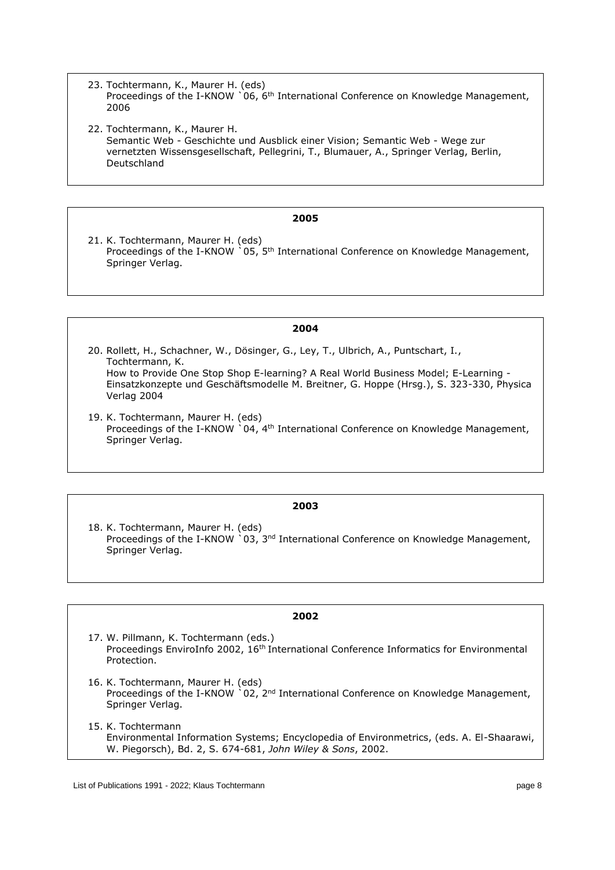- 23. Tochtermann, K., Maurer H. (eds) Proceedings of the I-KNOW `06, 6<sup>th</sup> International Conference on Knowledge Management, 2006
- 22. Tochtermann, K., Maurer H. Semantic Web - Geschichte und Ausblick einer Vision; Semantic Web - Wege zur vernetzten Wissensgesellschaft, Pellegrini, T., Blumauer, A., Springer Verlag, Berlin, Deutschland

21. K. Tochtermann, Maurer H. (eds) Proceedings of the I-KNOW `05, 5<sup>th</sup> International Conference on Knowledge Management, Springer Verlag.

## **2004**

- 20. Rollett, H., Schachner, W., Dösinger, G., Ley, T., Ulbrich, A., Puntschart, I., Tochtermann, K. How to Provide One Stop Shop E-learning? A Real World Business Model; E-Learning - Einsatzkonzepte und Geschäftsmodelle M. Breitner, G. Hoppe (Hrsg.), S. 323-330, Physica Verlag 2004
- 19. K. Tochtermann, Maurer H. (eds) Proceedings of the I-KNOW `04, 4<sup>th</sup> International Conference on Knowledge Management, Springer Verlag.

## **2003**

18. K. Tochtermann, Maurer H. (eds) Proceedings of the I-KNOW  $\degree$ 03, 3<sup>nd</sup> International Conference on Knowledge Management, Springer Verlag.

- 17. W. Pillmann, K. Tochtermann (eds.) Proceedings EnviroInfo 2002, 16<sup>th</sup> International Conference Informatics for Environmental Protection.
- 16. K. Tochtermann, Maurer H. (eds) Proceedings of the I-KNOW `02, 2<sup>nd</sup> International Conference on Knowledge Management, Springer Verlag.
- 15. K. Tochtermann Environmental Information Systems; Encyclopedia of Environmetrics, (eds. A. El-Shaarawi, W. Piegorsch), Bd. 2, S. 674-681, *John Wiley & Sons*, 2002.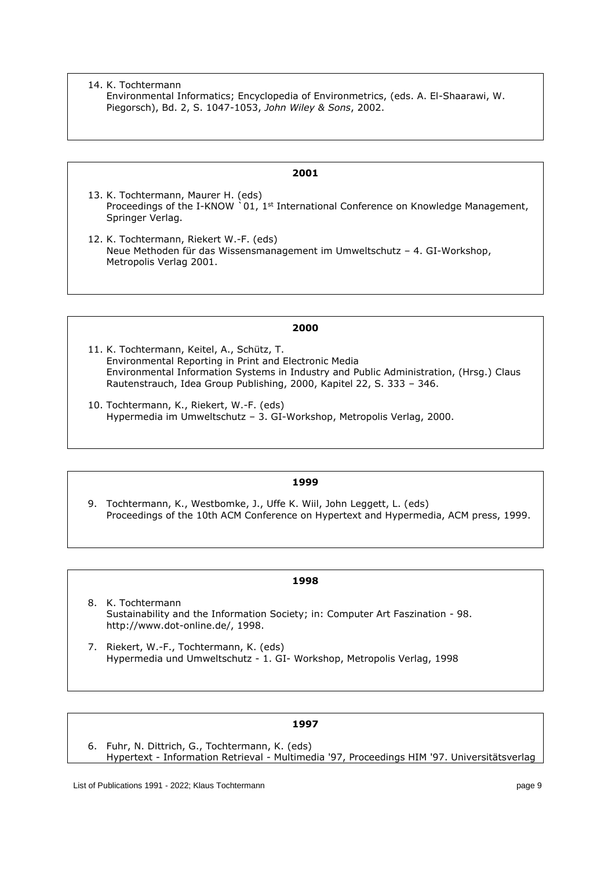14. K. Tochtermann Environmental Informatics; Encyclopedia of Environmetrics, (eds. A. El-Shaarawi, W. Piegorsch), Bd. 2, S. 1047-1053, *John Wiley & Sons*, 2002.

#### **2001**

- 13. K. Tochtermann, Maurer H. (eds) Proceedings of the I-KNOW  $\degree$ 01, 1<sup>st</sup> International Conference on Knowledge Management, Springer Verlag.
- 12. K. Tochtermann, Riekert W.-F. (eds) Neue Methoden für das Wissensmanagement im Umweltschutz – 4. GI-Workshop, Metropolis Verlag 2001.

#### **2000**

- 11. K. Tochtermann, Keitel, A., Schütz, T. Environmental Reporting in Print and Electronic Media Environmental Information Systems in Industry and Public Administration, (Hrsg.) Claus Rautenstrauch, Idea Group Publishing, 2000, Kapitel 22, S. 333 – 346.
- 10. Tochtermann, K., Riekert, W.-F. (eds) Hypermedia im Umweltschutz – 3. GI-Workshop, Metropolis Verlag, 2000.

## **1999**

9. Tochtermann, K., Westbomke, J., Uffe K. Wiil, John Leggett, L. (eds) Proceedings of the 10th ACM Conference on Hypertext and Hypermedia, ACM press, 1999.

#### **1998**

- 8. K. Tochtermann Sustainability and the Information Society; in: Computer Art Faszination - 98. http://www.dot-online.de/, 1998.
- 7. Riekert, W.-F., Tochtermann, K. (eds) Hypermedia und Umweltschutz - 1. GI- Workshop, Metropolis Verlag, 1998

## **1997**

6. Fuhr, N. Dittrich, G., Tochtermann, K. (eds) Hypertext - Information Retrieval - Multimedia '97, Proceedings HIM '97. Universitätsverlag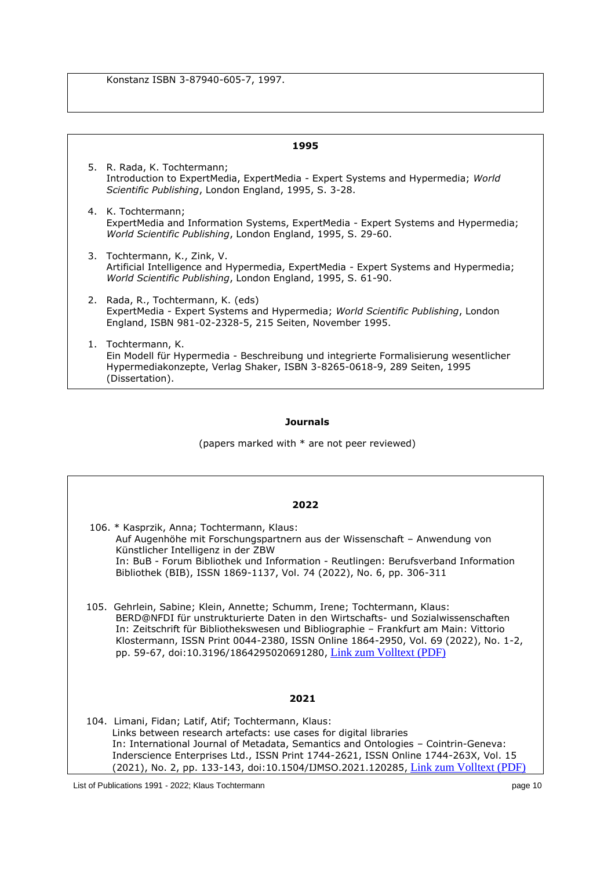Konstanz ISBN 3-87940-605-7, 1997.

| 1995 |                                                                                                                                                                                                          |  |
|------|----------------------------------------------------------------------------------------------------------------------------------------------------------------------------------------------------------|--|
|      | 5. R. Rada, K. Tochtermann;<br>Introduction to ExpertMedia, ExpertMedia - Expert Systems and Hypermedia; World<br>Scientific Publishing, London England, 1995, S. 3-28.                                  |  |
|      | 4. K. Tochtermann;<br>ExpertMedia and Information Systems, ExpertMedia - Expert Systems and Hypermedia;<br>World Scientific Publishing, London England, 1995, S. 29-60.                                  |  |
|      | 3. Tochtermann, K., Zink, V.<br>Artificial Intelligence and Hypermedia, ExpertMedia - Expert Systems and Hypermedia;<br>World Scientific Publishing, London England, 1995, S. 61-90.                     |  |
|      | 2. Rada, R., Tochtermann, K. (eds)<br>ExpertMedia - Expert Systems and Hypermedia; World Scientific Publishing, London<br>England, ISBN 981-02-2328-5, 215 Seiten, November 1995.                        |  |
|      | 1. Tochtermann, K.<br>Ein Modell für Hypermedia - Beschreibung und integrierte Formalisierung wesentlicher<br>Hypermediakonzepte, Verlag Shaker, ISBN 3-8265-0618-9, 289 Seiten, 1995<br>(Dissertation). |  |

## **Journals**

(papers marked with \* are not peer reviewed)

| ×<br>۰, |  |
|---------|--|
|---------|--|

- 106. \* Kasprzik, Anna; Tochtermann, Klaus: Auf Augenhöhe mit Forschungspartnern aus der Wissenschaft – Anwendung von Künstlicher Intelligenz in der ZBW In: BuB - Forum Bibliothek und Information - Reutlingen: Berufsverband Information Bibliothek (BIB), ISSN 1869-1137, Vol. 74 (2022), No. 6, pp. 306-311
- 105. Gehrlein, Sabine; Klein, Annette; Schumm, Irene; Tochtermann, Klaus: BERD@NFDI für unstrukturierte Daten in den Wirtschafts- und Sozialwissenschaften In: Zeitschrift für Bibliothekswesen und Bibliographie – Frankfurt am Main: Vittorio Klostermann, ISSN Print 0044-2380, ISSN Online 1864-2950, Vol. 69 (2022), No. 1-2, pp. 59-67, doi:10.3196/1864295020691280, [Link zum Volltext \(PDF\)](http://dx.doi.org/doi:10.3196/1864295020691280)

#### **2021**

 104. Limani, Fidan; Latif, Atif; Tochtermann, Klaus: Links between research artefacts: use cases for digital libraries In: International Journal of Metadata, Semantics and Ontologies – Cointrin-Geneva: Inderscience Enterprises Ltd., ISSN Print 1744-2621, ISSN Online 1744-263X, Vol. 15 (2021), No. 2, pp. 133-143, doi:10.1504/IJMSO.2021.120285, [Link zum Volltext \(PDF\)](http://dx.doi.org/doi:10.1504/IJMSO.2021.120285)

List of Publications 1991 - 2022; Klaus Tochtermann page 10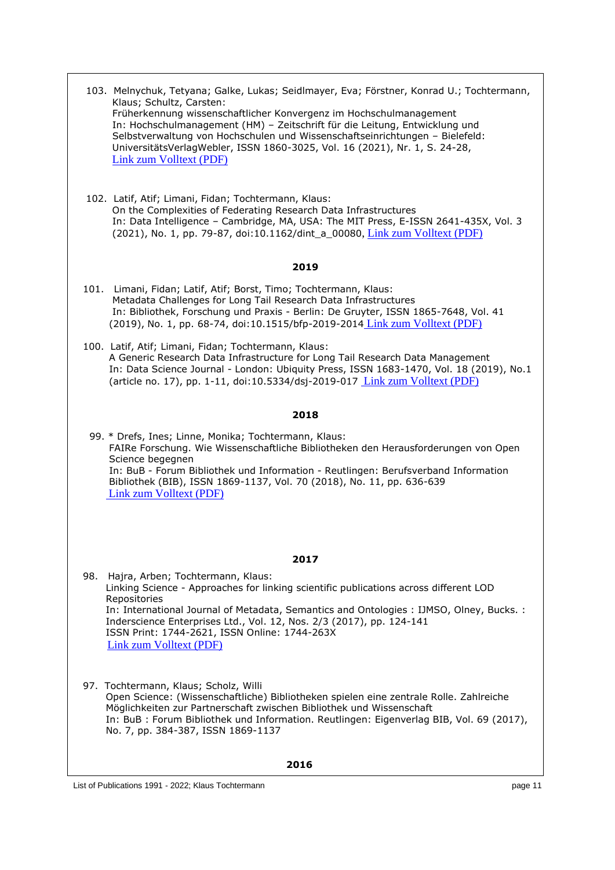| 103. Melnychuk, Tetyana; Galke, Lukas; Seidlmayer, Eva; Förstner, Konrad U.; Tochtermann,<br>Klaus; Schultz, Carsten:<br>Früherkennung wissenschaftlicher Konvergenz im Hochschulmanagement<br>In: Hochschulmanagement (HM) - Zeitschrift für die Leitung, Entwicklung und<br>Selbstverwaltung von Hochschulen und Wissenschaftseinrichtungen - Bielefeld:<br>UniversitätsVerlagWebler, ISSN 1860-3025, Vol. 16 (2021), Nr. 1, S. 24-28,<br>Link zum Volltext (PDF)<br>102. Latif, Atif; Limani, Fidan; Tochtermann, Klaus:<br>On the Complexities of Federating Research Data Infrastructures<br>In: Data Intelligence - Cambridge, MA, USA: The MIT Press, E-ISSN 2641-435X, Vol. 3 |
|---------------------------------------------------------------------------------------------------------------------------------------------------------------------------------------------------------------------------------------------------------------------------------------------------------------------------------------------------------------------------------------------------------------------------------------------------------------------------------------------------------------------------------------------------------------------------------------------------------------------------------------------------------------------------------------|
| (2021), No. 1, pp. 79-87, doi:10.1162/dint_a_00080, Link zum Volltext (PDF)                                                                                                                                                                                                                                                                                                                                                                                                                                                                                                                                                                                                           |
| 2019                                                                                                                                                                                                                                                                                                                                                                                                                                                                                                                                                                                                                                                                                  |
| 101. Limani, Fidan; Latif, Atif; Borst, Timo; Tochtermann, Klaus:<br>Metadata Challenges for Long Tail Research Data Infrastructures<br>In: Bibliothek, Forschung und Praxis - Berlin: De Gruyter, ISSN 1865-7648, Vol. 41<br>(2019), No. 1, pp. 68-74, doi:10.1515/bfp-2019-2014 Link zum Volltext (PDF)                                                                                                                                                                                                                                                                                                                                                                             |
| 100. Latif, Atif; Limani, Fidan; Tochtermann, Klaus:<br>A Generic Research Data Infrastructure for Long Tail Research Data Management<br>In: Data Science Journal - London: Ubiquity Press, ISSN 1683-1470, Vol. 18 (2019), No.1<br>(article no. 17), pp. 1-11, doi:10.5334/dsj-2019-017 Link zum Volltext (PDF)                                                                                                                                                                                                                                                                                                                                                                      |
| 2018                                                                                                                                                                                                                                                                                                                                                                                                                                                                                                                                                                                                                                                                                  |
| 99. * Drefs, Ines; Linne, Monika; Tochtermann, Klaus:<br>FAIRe Forschung. Wie Wissenschaftliche Bibliotheken den Herausforderungen von Open<br>Science begegnen<br>In: BuB - Forum Bibliothek und Information - Reutlingen: Berufsverband Information<br>Bibliothek (BIB), ISSN 1869-1137, Vol. 70 (2018), No. 11, pp. 636-639<br>Link zum Volltext (PDF)                                                                                                                                                                                                                                                                                                                             |
| 2017                                                                                                                                                                                                                                                                                                                                                                                                                                                                                                                                                                                                                                                                                  |
| 98.<br>Hajra, Arben; Tochtermann, Klaus:<br>Linking Science - Approaches for linking scientific publications across different LOD<br>Repositories<br>In: International Journal of Metadata, Semantics and Ontologies : IJMSO, Olney, Bucks. :<br>Inderscience Enterprises Ltd., Vol. 12, Nos. 2/3 (2017), pp. 124-141<br>ISSN Print: 1744-2621, ISSN Online: 1744-263X<br><b>Link zum Volltext (PDF)</b>                                                                                                                                                                                                                                                                              |
| 97. Tochtermann, Klaus; Scholz, Willi<br>Open Science: (Wissenschaftliche) Bibliotheken spielen eine zentrale Rolle. Zahlreiche<br>Möglichkeiten zur Partnerschaft zwischen Bibliothek und Wissenschaft<br>In: BuB: Forum Bibliothek und Information. Reutlingen: Eigenverlag BIB, Vol. 69 (2017),<br>No. 7, pp. 384-387, ISSN 1869-1137                                                                                                                                                                                                                                                                                                                                              |
| 2016                                                                                                                                                                                                                                                                                                                                                                                                                                                                                                                                                                                                                                                                                  |

i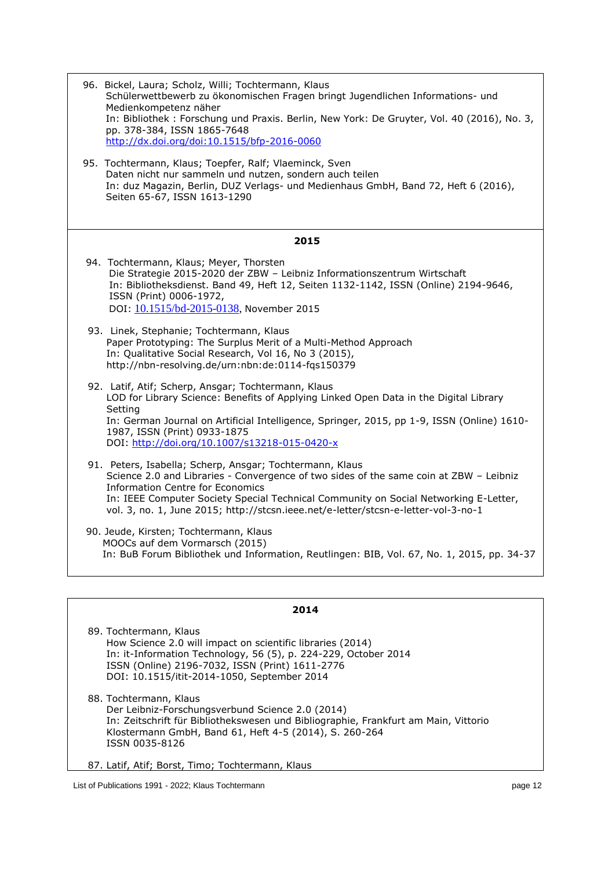| 96. Bickel, Laura; Scholz, Willi; Tochtermann, Klaus<br>Schülerwettbewerb zu ökonomischen Fragen bringt Jugendlichen Informations- und<br>Medienkompetenz näher<br>In: Bibliothek: Forschung und Praxis. Berlin, New York: De Gruyter, Vol. 40 (2016), No. 3,<br>pp. 378-384, ISSN 1865-7648<br>http://dx.doi.org/doi:10.1515/bfp-2016-0060                                 |
|-----------------------------------------------------------------------------------------------------------------------------------------------------------------------------------------------------------------------------------------------------------------------------------------------------------------------------------------------------------------------------|
| 95. Tochtermann, Klaus; Toepfer, Ralf; Vlaeminck, Sven<br>Daten nicht nur sammeln und nutzen, sondern auch teilen<br>In: duz Magazin, Berlin, DUZ Verlags- und Medienhaus GmbH, Band 72, Heft 6 (2016),<br>Seiten 65-67, ISSN 1613-1290                                                                                                                                     |
| 2015                                                                                                                                                                                                                                                                                                                                                                        |
| 94. Tochtermann, Klaus; Meyer, Thorsten<br>Die Strategie 2015-2020 der ZBW - Leibniz Informationszentrum Wirtschaft<br>In: Bibliotheksdienst. Band 49, Heft 12, Seiten 1132-1142, ISSN (Online) 2194-9646,<br>ISSN (Print) 0006-1972,<br>DOI: 10.1515/bd-2015-0138, November 2015                                                                                           |
| 93. Linek, Stephanie; Tochtermann, Klaus<br>Paper Prototyping: The Surplus Merit of a Multi-Method Approach<br>In: Qualitative Social Research, Vol 16, No 3 (2015),<br>http://nbn-resolving.de/urn:nbn:de:0114-fqs150379                                                                                                                                                   |
| 92. Latif, Atif; Scherp, Ansgar; Tochtermann, Klaus<br>LOD for Library Science: Benefits of Applying Linked Open Data in the Digital Library<br>Setting<br>In: German Journal on Artificial Intelligence, Springer, 2015, pp 1-9, ISSN (Online) 1610-<br>1987, ISSN (Print) 0933-1875<br>DOI: http://doi.org/10.1007/s13218-015-0420-x                                      |
| 91. Peters, Isabella; Scherp, Ansgar; Tochtermann, Klaus<br>Science 2.0 and Libraries - Convergence of two sides of the same coin at ZBW - Leibniz<br><b>Information Centre for Economics</b><br>In: IEEE Computer Society Special Technical Community on Social Networking E-Letter,<br>vol. 3, no. 1, June 2015; http://stcsn.ieee.net/e-letter/stcsn-e-letter-vol-3-no-1 |
| 90. Jeude, Kirsten; Tochtermann, Klaus<br>MOOCs auf dem Vormarsch (2015)<br>In: BuB Forum Bibliothek und Information, Reutlingen: BIB, Vol. 67, No. 1, 2015, pp. 34-37                                                                                                                                                                                                      |
|                                                                                                                                                                                                                                                                                                                                                                             |

89. Tochtermann, Klaus How Science 2.0 will impact on scientific libraries (2014) In: it-Information Technology, 56 (5), p. 224-229, October 2014 ISSN (Online) 2196-7032, ISSN (Print) 1611-2776 DOI: [10.1515/itit-2014-1050,](http://dx.doi.org/10.1515/itit-2014-1050) September 2014

88. Tochtermann, Klaus Der Leibniz-Forschungsverbund Science 2.0 (2014) In: Zeitschrift für Bibliothekswesen und Bibliographie, Frankfurt am Main, Vittorio Klostermann GmbH, Band 61, Heft 4-5 (2014), S. 260-264 ISSN 0035-8126

87. Latif, Atif; Borst, Timo; Tochtermann, Klaus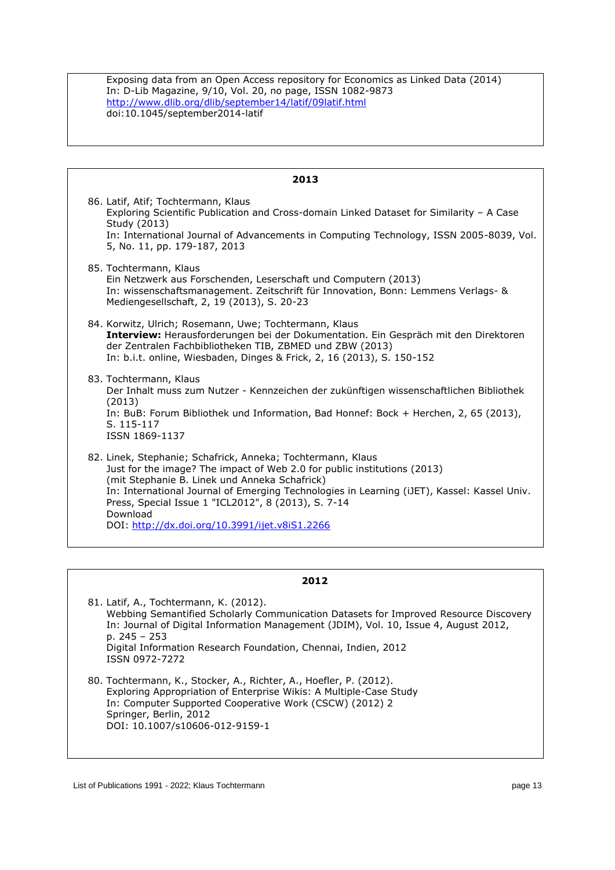Exposing data from an Open Access repository for Economics as Linked Data (2014) In: D-Lib Magazine, 9/10, Vol. 20, no page, ISSN 1082-9873 <http://www.dlib.org/dlib/september14/latif/09latif.html> doi:10.1045/september2014-latif

| 2013                                                                                                                                                                                                                                                                                                                                                                                                         |
|--------------------------------------------------------------------------------------------------------------------------------------------------------------------------------------------------------------------------------------------------------------------------------------------------------------------------------------------------------------------------------------------------------------|
| 86. Latif, Atif; Tochtermann, Klaus<br>Exploring Scientific Publication and Cross-domain Linked Dataset for Similarity - A Case<br>Study (2013)<br>In: International Journal of Advancements in Computing Technology, ISSN 2005-8039, Vol.<br>5, No. 11, pp. 179-187, 2013                                                                                                                                   |
| 85. Tochtermann, Klaus<br>Ein Netzwerk aus Forschenden, Leserschaft und Computern (2013)<br>In: wissenschaftsmanagement. Zeitschrift für Innovation, Bonn: Lemmens Verlags- &<br>Mediengesellschaft, 2, 19 (2013), S. 20-23                                                                                                                                                                                  |
| 84. Korwitz, Ulrich; Rosemann, Uwe; Tochtermann, Klaus<br>Interview: Herausforderungen bei der Dokumentation. Ein Gespräch mit den Direktoren<br>der Zentralen Fachbibliotheken TIB, ZBMED und ZBW (2013)<br>In: b.i.t. online, Wiesbaden, Dinges & Frick, 2, 16 (2013), S. 150-152                                                                                                                          |
| 83. Tochtermann, Klaus<br>Der Inhalt muss zum Nutzer - Kennzeichen der zukünftigen wissenschaftlichen Bibliothek<br>(2013)<br>In: BuB: Forum Bibliothek und Information, Bad Honnef: Bock + Herchen, 2, 65 (2013),<br>S. 115-117<br>ISSN 1869-1137                                                                                                                                                           |
| 82. Linek, Stephanie; Schafrick, Anneka; Tochtermann, Klaus<br>Just for the image? The impact of Web 2.0 for public institutions (2013)<br>(mit Stephanie B. Linek und Anneka Schafrick)<br>In: International Journal of Emerging Technologies in Learning (iJET), Kassel: Kassel Univ.<br>Press, Special Issue 1 "ICL2012", 8 (2013), S. 7-14<br>Download<br>DOI: http://dx.doi.org/10.3991/ijet.v8iS1.2266 |

## **2012**

81. Latif, A., Tochtermann, K. (2012). Webbing Semantified Scholarly Communication Datasets for Improved Resource Discovery In: Journal of Digital Information Management (JDIM), Vol. 10, Issue 4, August 2012, p. 245 – 253 Digital Information Research Foundation, Chennai, Indien, 2012 ISSN 0972-7272 80. Tochtermann, K., Stocker, A., Richter, A., Hoefler, P. (2012). Exploring Appropriation of Enterprise Wikis: A Multiple-Case Study In: Computer Supported Cooperative Work (CSCW) (2012) 2 Springer, Berlin, 2012

DOI: 10.1007/s10606-012-9159-1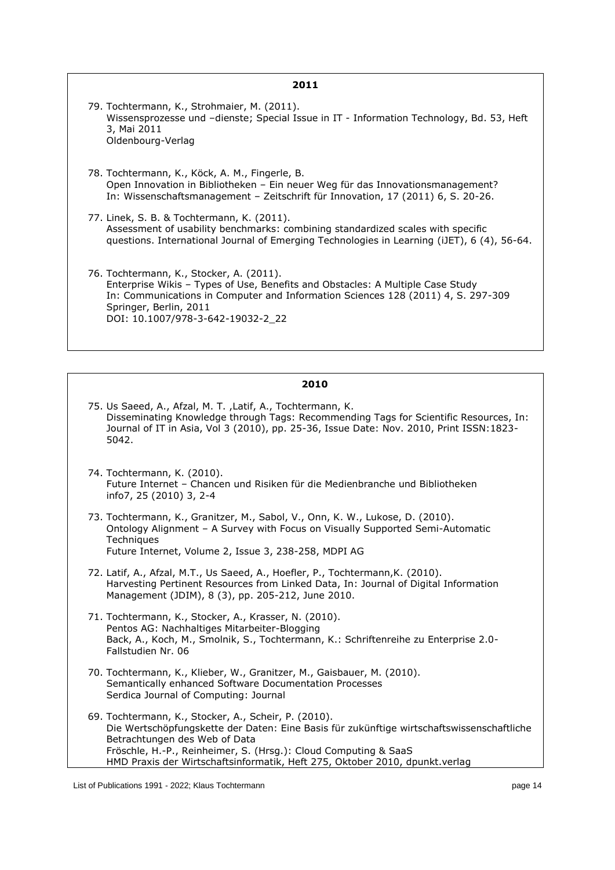| 2011                                                                                                                                                                                                                                                                          |
|-------------------------------------------------------------------------------------------------------------------------------------------------------------------------------------------------------------------------------------------------------------------------------|
| 79. Tochtermann, K., Strohmaier, M. (2011).<br>Wissensprozesse und -dienste; Special Issue in IT - Information Technology, Bd. 53, Heft<br>3, Mai 2011<br>Oldenbourg-Verlag                                                                                                   |
| 78. Tochtermann, K., Köck, A. M., Fingerle, B.<br>Open Innovation in Bibliotheken – Ein neuer Weg für das Innovationsmanagement?<br>In: Wissenschaftsmanagement – Zeitschrift für Innovation, 17 (2011) 6, S. 20-26.                                                          |
| 77. Linek, S. B. & Tochtermann, K. (2011).<br>Assessment of usability benchmarks: combining standardized scales with specific<br>questions. International Journal of Emerging Technologies in Learning (iJET), 6 (4), 56-64.                                                  |
| 76. Tochtermann, K., Stocker, A. (2011).<br>Enterprise Wikis - Types of Use, Benefits and Obstacles: A Multiple Case Study<br>In: Communications in Computer and Information Sciences 128 (2011) 4, S. 297-309<br>Springer, Berlin, 2011<br>DOI: 10.1007/978-3-642-19032-2 22 |

- 75. Us Saeed, A., Afzal, M. T. ,Latif, A., Tochtermann, K. Disseminating Knowledge through Tags: Recommending Tags for Scientific Resources, In: Journal of IT in Asia, Vol 3 (2010), pp. 25-36, Issue Date: Nov. 2010, Print ISSN:1823- 5042.
- 74. Tochtermann, K. (2010). Future Internet – Chancen und Risiken für die Medienbranche und Bibliotheken info7, 25 (2010) 3, 2-4
- 73. Tochtermann, K., Granitzer, M., Sabol, V., Onn, K. W., Lukose, D. (2010). Ontology Alignment – A Survey with Focus on Visually Supported Semi-Automatic **Techniques** Future Internet, Volume 2, Issue 3, 238-258, MDPI AG
- 72. Latif, A., Afzal, M.T., Us Saeed, A., Hoefler, P., Tochtermann,K. (2010). Harvesting Pertinent Resources from Linked Data, In: Journal of Digital Information Management (JDIM), 8 (3), pp. 205-212, June 2010.
- 71. Tochtermann, K., Stocker, A., Krasser, N. (2010). Pentos AG: Nachhaltiges Mitarbeiter-Blogging Back, A., Koch, M., Smolnik, S., Tochtermann, K.: Schriftenreihe zu Enterprise 2.0- Fallstudien Nr. 06
- 70. Tochtermann, K., Klieber, W., Granitzer, M., Gaisbauer, M. (2010). Semantically enhanced Software Documentation Processes Serdica Journal of Computing: Journal
- 69. Tochtermann, K., Stocker, A., Scheir, P. (2010). Die Wertschöpfungskette der Daten: Eine Basis für zukünftige wirtschaftswissenschaftliche Betrachtungen des Web of Data Fröschle, H.-P., Reinheimer, S. (Hrsg.): Cloud Computing & SaaS HMD Praxis der Wirtschaftsinformatik, Heft 275, Oktober 2010, dpunkt.verlag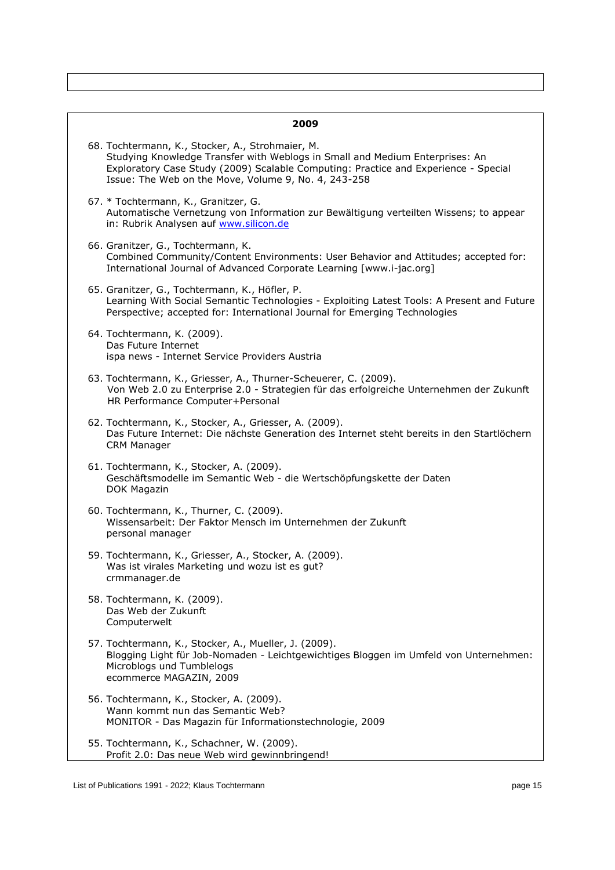|  | 2009                                                                                                                                                                                                                                                                            |
|--|---------------------------------------------------------------------------------------------------------------------------------------------------------------------------------------------------------------------------------------------------------------------------------|
|  | 68. Tochtermann, K., Stocker, A., Strohmaier, M.<br>Studying Knowledge Transfer with Weblogs in Small and Medium Enterprises: An<br>Exploratory Case Study (2009) Scalable Computing: Practice and Experience - Special<br>Issue: The Web on the Move, Volume 9, No. 4, 243-258 |
|  | 67. * Tochtermann, K., Granitzer, G.<br>Automatische Vernetzung von Information zur Bewältigung verteilten Wissens; to appear<br>in: Rubrik Analysen auf www.silicon.de                                                                                                         |
|  | 66. Granitzer, G., Tochtermann, K.<br>Combined Community/Content Environments: User Behavior and Attitudes; accepted for:<br>International Journal of Advanced Corporate Learning [www.i-jac.org]                                                                               |
|  | 65. Granitzer, G., Tochtermann, K., Höfler, P.<br>Learning With Social Semantic Technologies - Exploiting Latest Tools: A Present and Future<br>Perspective; accepted for: International Journal for Emerging Technologies                                                      |
|  | 64. Tochtermann, K. (2009).<br>Das Future Internet<br>ispa news - Internet Service Providers Austria                                                                                                                                                                            |
|  | 63. Tochtermann, K., Griesser, A., Thurner-Scheuerer, C. (2009).<br>Von Web 2.0 zu Enterprise 2.0 - Strategien für das erfolgreiche Unternehmen der Zukunft<br>HR Performance Computer+Personal                                                                                 |
|  | 62. Tochtermann, K., Stocker, A., Griesser, A. (2009).<br>Das Future Internet: Die nächste Generation des Internet steht bereits in den Startlöchern<br><b>CRM Manager</b>                                                                                                      |
|  | 61. Tochtermann, K., Stocker, A. (2009).<br>Geschäftsmodelle im Semantic Web - die Wertschöpfungskette der Daten<br>DOK Magazin                                                                                                                                                 |
|  | 60. Tochtermann, K., Thurner, C. (2009).<br>Wissensarbeit: Der Faktor Mensch im Unternehmen der Zukunft<br>personal manager                                                                                                                                                     |
|  | 59. Tochtermann, K., Griesser, A., Stocker, A. (2009).<br>Was ist virales Marketing und wozu ist es gut?<br>crmmanager.de                                                                                                                                                       |
|  | 58. Tochtermann, K. (2009).<br>Das Web der Zukunft<br>Computerwelt                                                                                                                                                                                                              |
|  | 57. Tochtermann, K., Stocker, A., Mueller, J. (2009).<br>Blogging Light für Job-Nomaden - Leichtgewichtiges Bloggen im Umfeld von Unternehmen:<br>Microblogs und Tumblelogs<br>ecommerce MAGAZIN, 2009                                                                          |
|  | 56. Tochtermann, K., Stocker, A. (2009).<br>Wann kommt nun das Semantic Web?<br>MONITOR - Das Magazin für Informationstechnologie, 2009                                                                                                                                         |
|  | 55. Tochtermann, K., Schachner, W. (2009).<br>Profit 2.0: Das neue Web wird gewinnbringend!                                                                                                                                                                                     |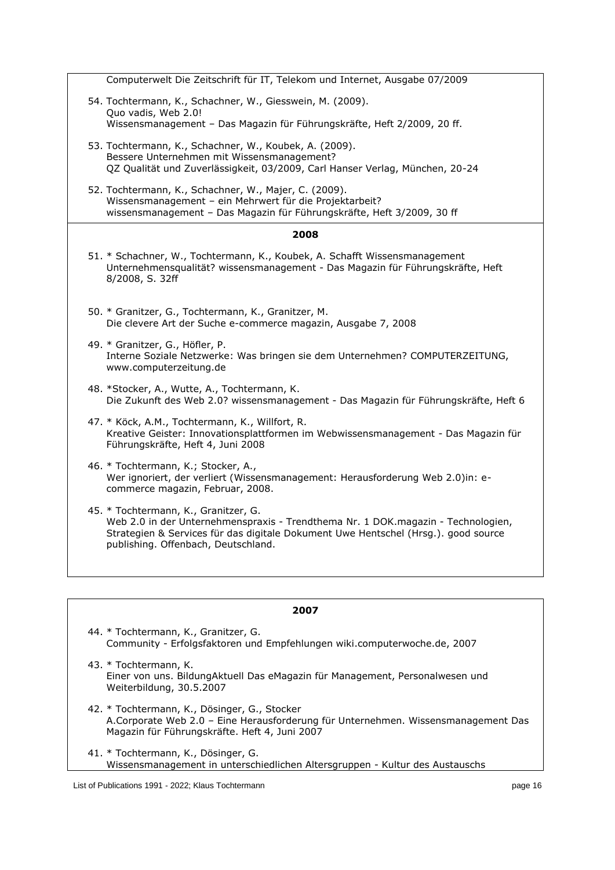| Computerwelt Die Zeitschrift für IT, Telekom und Internet, Ausgabe 07/2009                                                                                                                                                                            |
|-------------------------------------------------------------------------------------------------------------------------------------------------------------------------------------------------------------------------------------------------------|
| 54. Tochtermann, K., Schachner, W., Giesswein, M. (2009).<br>Quo vadis, Web 2.0!<br>Wissensmanagement - Das Magazin für Führungskräfte, Heft 2/2009, 20 ff.                                                                                           |
| 53. Tochtermann, K., Schachner, W., Koubek, A. (2009).<br>Bessere Unternehmen mit Wissensmanagement?<br>QZ Qualität und Zuverlässigkeit, 03/2009, Carl Hanser Verlag, München, 20-24                                                                  |
| 52. Tochtermann, K., Schachner, W., Majer, C. (2009).<br>Wissensmanagement - ein Mehrwert für die Projektarbeit?<br>wissensmanagement - Das Magazin für Führungskräfte, Heft 3/2009, 30 ff                                                            |
| 2008                                                                                                                                                                                                                                                  |
| 51. * Schachner, W., Tochtermann, K., Koubek, A. Schafft Wissensmanagement<br>Unternehmensqualität? wissensmanagement - Das Magazin für Führungskräfte, Heft<br>8/2008, S. 32ff                                                                       |
| 50. * Granitzer, G., Tochtermann, K., Granitzer, M.<br>Die clevere Art der Suche e-commerce magazin, Ausgabe 7, 2008                                                                                                                                  |
| 49. * Granitzer, G., Höfler, P.<br>Interne Soziale Netzwerke: Was bringen sie dem Unternehmen? COMPUTERZEITUNG,<br>www.computerzeitung.de                                                                                                             |
| 48. *Stocker, A., Wutte, A., Tochtermann, K.<br>Die Zukunft des Web 2.0? wissensmanagement - Das Magazin für Führungskräfte, Heft 6                                                                                                                   |
| 47. * Köck, A.M., Tochtermann, K., Willfort, R.<br>Kreative Geister: Innovationsplattformen im Webwissensmanagement - Das Magazin für<br>Führungskräfte, Heft 4, Juni 2008                                                                            |
| 46. * Tochtermann, K.; Stocker, A.,<br>Wer ignoriert, der verliert (Wissensmanagement: Herausforderung Web 2.0)in: e-<br>commerce magazin, Februar, 2008.                                                                                             |
| 45. * Tochtermann, K., Granitzer, G.<br>Web 2.0 in der Unternehmenspraxis - Trendthema Nr. 1 DOK.magazin - Technologien,<br>Strategien & Services für das digitale Dokument Uwe Hentschel (Hrsg.). good source<br>publishing. Offenbach, Deutschland. |
|                                                                                                                                                                                                                                                       |

| 2007                                                                                                                                                                               |
|------------------------------------------------------------------------------------------------------------------------------------------------------------------------------------|
| 44. * Tochtermann, K., Granitzer, G.<br>Community - Erfolgsfaktoren und Empfehlungen wiki.computerwoche.de, 2007                                                                   |
| 43. * Tochtermann, K.<br>Einer von uns. BildungAktuell Das eMagazin für Management, Personalwesen und<br>Weiterbildung, 30.5.2007                                                  |
| 42. * Tochtermann, K., Dösinger, G., Stocker<br>A.Corporate Web 2.0 – Eine Herausforderung für Unternehmen. Wissensmanagement Das<br>Magazin für Führungskräfte. Heft 4, Juni 2007 |
| 41. * Tochtermann, K., Dösinger, G.<br>Wissensmanagement in unterschiedlichen Altersgruppen - Kultur des Austauschs                                                                |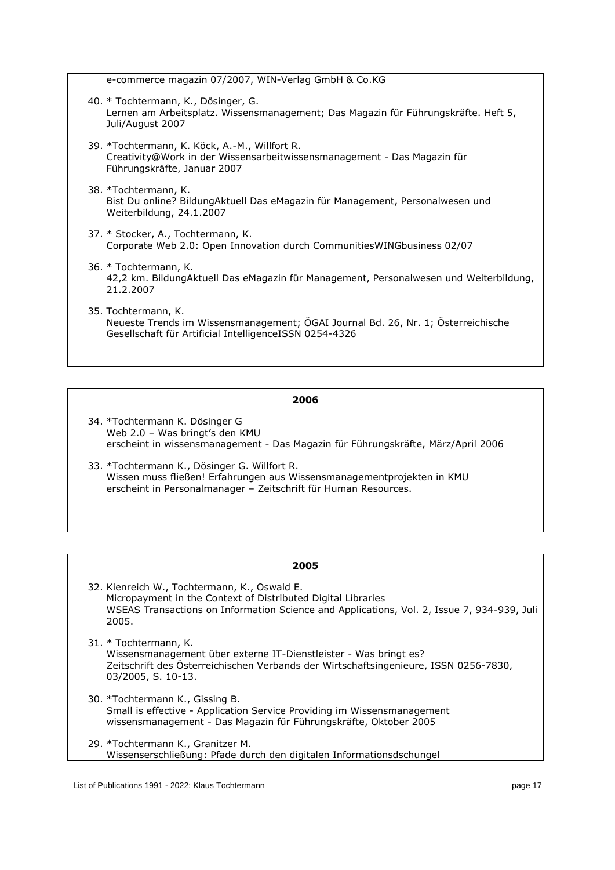e-commerce magazin 07/2007, WIN-Verlag GmbH & Co.KG

- 40. \* Tochtermann, K., Dösinger, G. Lernen am Arbeitsplatz. Wissensmanagement; Das Magazin für Führungskräfte. Heft 5, Juli/August 2007
- 39. \*Tochtermann, K. Köck, A.-M., Willfort R. Creativity@Work in der Wissensarbeitwissensmanagement - Das Magazin für Führungskräfte, Januar 2007
- 38. \*Tochtermann, K. Bist Du online? BildungAktuell Das eMagazin für Management, Personalwesen und Weiterbildung, 24.1.2007
- 37. \* Stocker, A., Tochtermann, K. Corporate Web 2.0: Open Innovation durch CommunitiesWINGbusiness 02/07
- 36. \* Tochtermann, K. 42,2 km. BildungAktuell Das eMagazin für Management, Personalwesen und Weiterbildung, 21.2.2007
- 35. Tochtermann, K. Neueste Trends im Wissensmanagement; ÖGAI Journal Bd. 26, Nr. 1; Österreichische Gesellschaft für Artificial IntelligenceISSN 0254-4326

## **2006**

- 34. \*Tochtermann K. Dösinger G Web 2.0 – Was bringt's den KMU erscheint in wissensmanagement - Das Magazin für Führungskräfte, März/April 2006
- 33. \*Tochtermann K., Dösinger G. Willfort R. Wissen muss fließen! Erfahrungen aus Wissensmanagementprojekten in KMU erscheint in Personalmanager – Zeitschrift für Human Resources.

- 32. Kienreich W., Tochtermann, K., Oswald E. Micropayment in the Context of Distributed Digital Libraries WSEAS Transactions on Information Science and Applications, Vol. 2, Issue 7, 934-939, Juli 2005.
- 31. \* Tochtermann, K. Wissensmanagement über externe IT-Dienstleister - Was bringt es? Zeitschrift des Österreichischen Verbands der Wirtschaftsingenieure, ISSN 0256-7830, 03/2005, S. 10-13.
- 30. \*Tochtermann K., Gissing B. Small is effective - Application Service Providing im Wissensmanagement wissensmanagement - Das Magazin für Führungskräfte, Oktober 2005
- 29. \*Tochtermann K., Granitzer M. Wissenserschließung: Pfade durch den digitalen Informationsdschungel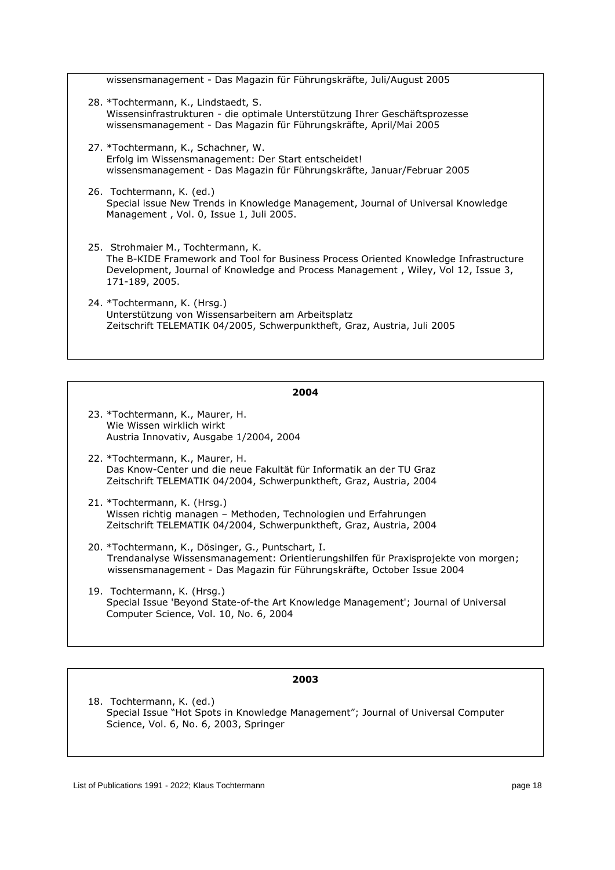| wissensmanagement - Das Magazin für Führungskräfte, Juli/August 2005                                                                                                                                                              |
|-----------------------------------------------------------------------------------------------------------------------------------------------------------------------------------------------------------------------------------|
| 28. *Tochtermann, K., Lindstaedt, S.<br>Wissensinfrastrukturen - die optimale Unterstützung Ihrer Geschäftsprozesse<br>wissensmanagement - Das Magazin für Führungskräfte, April/Mai 2005                                         |
| 27. *Tochtermann, K., Schachner, W.<br>Erfolg im Wissensmanagement: Der Start entscheidet!<br>wissensmanagement - Das Magazin für Führungskräfte, Januar/Februar 2005                                                             |
| 26. Tochtermann, K. (ed.)<br>Special issue New Trends in Knowledge Management, Journal of Universal Knowledge<br>Management, Vol. 0, Issue 1, Juli 2005.                                                                          |
| 25. Strohmaier M., Tochtermann, K.<br>The B-KIDE Framework and Tool for Business Process Oriented Knowledge Infrastructure<br>Development, Journal of Knowledge and Process Management, Wiley, Vol 12, Issue 3,<br>171-189, 2005. |
| 24. *Tochtermann, K. (Hrsg.)<br>Unterstützung von Wissensarbeitern am Arbeitsplatz<br>Zeitschrift TELEMATIK 04/2005, Schwerpunktheft, Graz, Austria, Juli 2005                                                                    |

- 23. \*Tochtermann, K., Maurer, H. Wie Wissen wirklich wirkt Austria Innovativ, Ausgabe 1/2004, 2004
- 22. \*Tochtermann, K., Maurer, H. Das Know-Center und die neue Fakultät für Informatik an der TU Graz Zeitschrift TELEMATIK 04/2004, Schwerpunktheft, Graz, Austria, 2004
- 21. \*Tochtermann, K. (Hrsg.) Wissen richtig managen – Methoden, Technologien und Erfahrungen Zeitschrift TELEMATIK 04/2004, Schwerpunktheft, Graz, Austria, 2004
- 20. \*Tochtermann, K., Dösinger, G., Puntschart, I. Trendanalyse Wissensmanagement: Orientierungshilfen für Praxisprojekte von morgen; wissensmanagement - Das Magazin für Führungskräfte, October Issue 2004
- 19. Tochtermann, K. (Hrsg.) Special Issue 'Beyond State-of-the Art Knowledge Management'; Journal of Universal Computer Science, Vol. 10, No. 6, 2004

#### **2003**

18. Tochtermann, K. (ed.) Special Issue "Hot Spots in Knowledge Management"; Journal of Universal Computer Science, Vol. 6, No. 6, 2003, Springer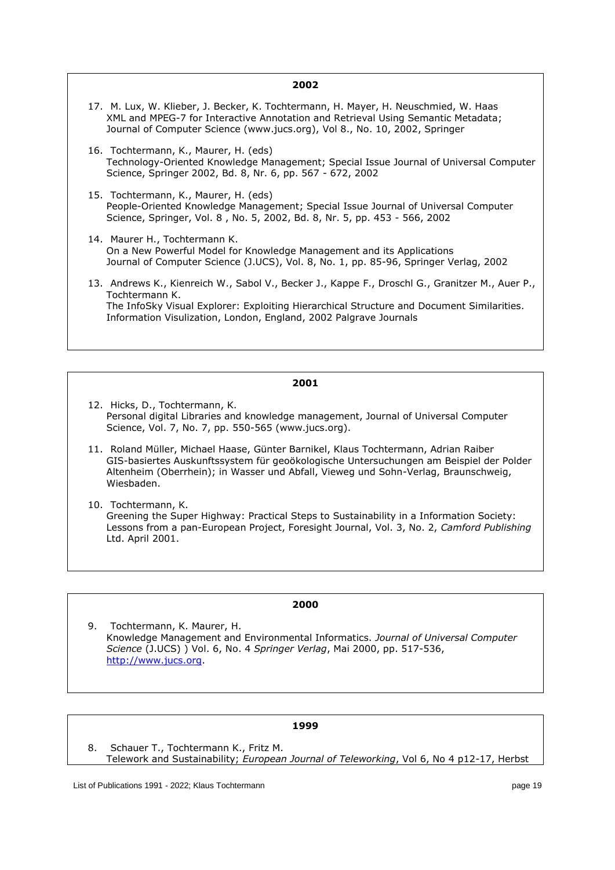- 17. M. Lux, W. Klieber, J. Becker, K. Tochtermann, H. Mayer, H. Neuschmied, W. Haas XML and MPEG-7 for Interactive Annotation and Retrieval Using Semantic Metadata; Journal of Computer Science (www.jucs.org), Vol 8., No. 10, 2002, Springer
- 16. Tochtermann, K., Maurer, H. (eds) Technology-Oriented Knowledge Management; Special Issue Journal of Universal Computer Science, Springer 2002, Bd. 8, Nr. 6, pp. 567 - 672, 2002
- 15. Tochtermann, K., Maurer, H. (eds) People-Oriented Knowledge Management; Special Issue Journal of Universal Computer Science, Springer, Vol. 8 , No. 5, 2002, Bd. 8, Nr. 5, pp. 453 - 566, 2002
- 14. Maurer H., Tochtermann K. On a New Powerful Model for Knowledge Management and its Applications Journal of Computer Science (J.UCS), Vol. 8, No. 1, pp. 85-96, Springer Verlag, 2002
- 13. Andrews K., Kienreich W., Sabol V., Becker J., Kappe F., Droschl G., Granitzer M., Auer P., Tochtermann K. The InfoSky Visual Explorer: Exploiting Hierarchical Structure and Document Similarities. Information Visulization, London, England, 2002 Palgrave Journals

#### **2001**

- 12. Hicks, D., Tochtermann, K. Personal digital Libraries and knowledge management, Journal of Universal Computer Science, Vol. 7, No. 7, pp. 550-565 (www.jucs.org).
- 11. Roland Müller, Michael Haase, Günter Barnikel, Klaus Tochtermann, Adrian Raiber GIS-basiertes Auskunftssystem für geoökologische Untersuchungen am Beispiel der Polder Altenheim (Oberrhein); in Wasser und Abfall, Vieweg und Sohn-Verlag, Braunschweig, Wiesbaden.
- 10. Tochtermann, K. Greening the Super Highway: Practical Steps to Sustainability in a Information Society: Lessons from a pan-European Project, Foresight Journal, Vol. 3, No. 2, *Camford Publishing* Ltd. April 2001.

#### **2000**

9. Tochtermann, K. Maurer, H. Knowledge Management and Environmental Informatics. *Journal of Universal Computer Science* (J.UCS) ) Vol. 6, No. 4 *Springer Verlag*, Mai 2000, pp. 517-536, [http://www.jucs.org.](http://www.jucs.org/)

#### **1999**

8. Schauer T., Tochtermann K., Fritz M. Telework and Sustainability; *European Journal of Teleworking*, Vol 6, No 4 p12-17, Herbst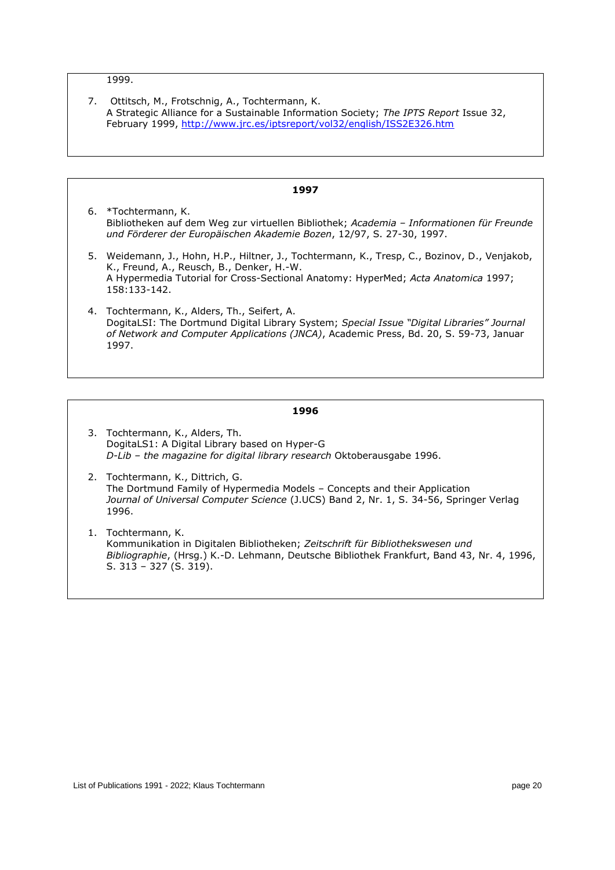## 1999.

| 7. Ottitsch, M., Frotschnig, A., Tochtermann, K.                                      |
|---------------------------------------------------------------------------------------|
| A Strategic Alliance for a Sustainable Information Society; The IPTS Report Issue 32, |
| February 1999, http://www.jrc.es/iptsreport/vol32/english/ISS2E326.htm                |

- **1997** 6. \*Tochtermann, K. Bibliotheken auf dem Weg zur virtuellen Bibliothek; *Academia – Informationen für Freunde und Förderer der Europäischen Akademie Bozen*, 12/97, S. 27-30, 1997. 5. Weidemann, J., Hohn, H.P., Hiltner, J., Tochtermann, K., Tresp, C., Bozinov, D., Venjakob, K., Freund, A., Reusch, B., Denker, H.-W. A Hypermedia Tutorial for Cross-Sectional Anatomy: HyperMed; *Acta Anatomica* 1997; 158:133-142. 4. Tochtermann, K., Alders, Th., Seifert, A.
	- DogitaLSI: The Dortmund Digital Library System; *Special Issue "Digital Libraries" Journal of Network and Computer Applications (JNCA)*, Academic Press, Bd. 20, S. 59-73, Januar 1997.

- 3. Tochtermann, K., Alders, Th. DogitaLS1: A Digital Library based on Hyper-G *D-Lib – the magazine for digital library research* Oktoberausgabe 1996.
- 2. Tochtermann, K., Dittrich, G. The Dortmund Family of Hypermedia Models – Concepts and their Application *Journal of Universal Computer Science* (J.UCS) Band 2, Nr. 1, S. 34-56, Springer Verlag 1996.
- 1. Tochtermann, K. Kommunikation in Digitalen Bibliotheken; *Zeitschrift für Bibliothekswesen und Bibliographie*, (Hrsg.) K.-D. Lehmann, Deutsche Bibliothek Frankfurt, Band 43, Nr. 4, 1996, S. 313 – 327 (S. 319).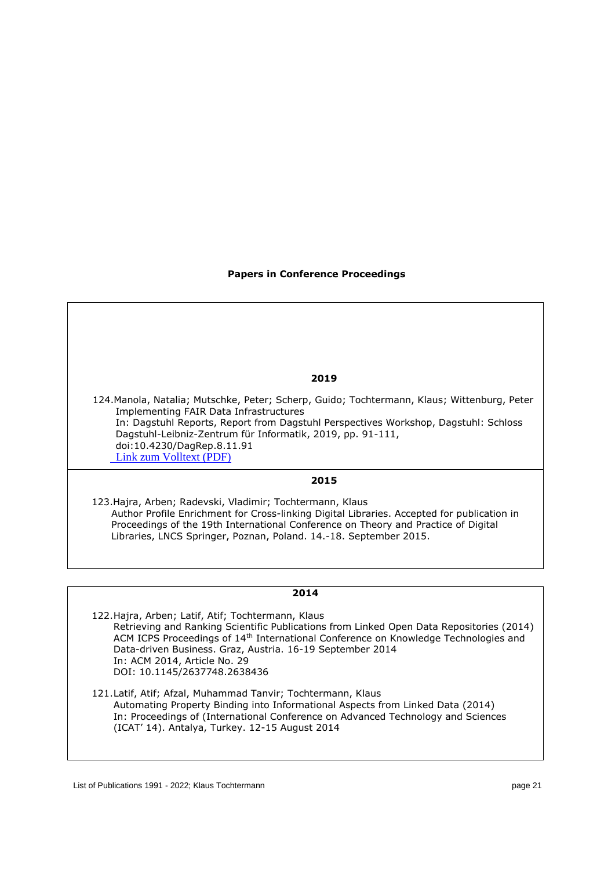## **Papers in Conference Proceedings**

#### **2019**

 124.Manola, Natalia; Mutschke, Peter; Scherp, Guido; Tochtermann, Klaus; Wittenburg, Peter Implementing FAIR Data Infrastructures In: Dagstuhl Reports, Report from Dagstuhl Perspectives Workshop, Dagstuhl: Schloss Dagstuhl-Leibniz-Zentrum für Informatik, 2019, pp. 91-111, doi:10.4230/DagRep.8.11.91 [Link zum Volltext \(PDF\)](http://hdl.handle.net/11108/438) 

# **2015**

123.Hajra, Arben; Radevski, Vladimir; Tochtermann, Klaus Author Profile Enrichment for Cross-linking Digital Libraries. Accepted for publication in Proceedings of the 19th International Conference on Theory and Practice of Digital Libraries, LNCS Springer, Poznan, Poland. 14.-18. September 2015.

## **2014**

122.Hajra, Arben; Latif, Atif; Tochtermann, Klaus Retrieving and Ranking Scientific Publications from Linked Open Data Repositories (2014) ACM ICPS Proceedings of 14th International Conference on Knowledge Technologies and Data-driven Business. Graz, Austria. 16-19 September 2014 In: ACM 2014, Article No. 29 DOI: 10.1145/2637748.2638436

121.Latif, Atif; Afzal, Muhammad Tanvir; Tochtermann, Klaus Automating Property Binding into Informational Aspects from Linked Data (2014) In: Proceedings of (International Conference on Advanced Technology and Sciences (ICAT' 14). Antalya, Turkey. 12-15 August 2014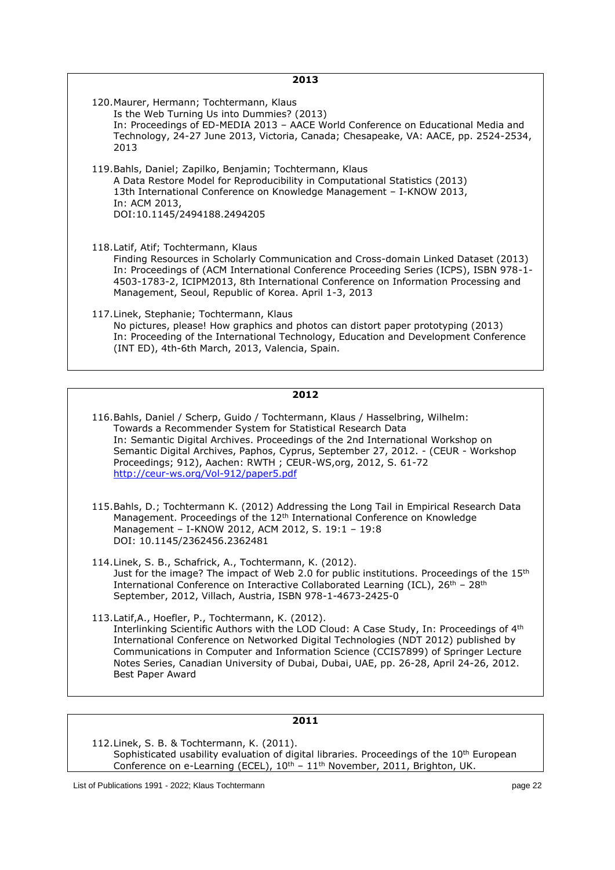| 2013                                                                                                                                                                                                                                                                                                                                                                 |
|----------------------------------------------------------------------------------------------------------------------------------------------------------------------------------------------------------------------------------------------------------------------------------------------------------------------------------------------------------------------|
| 120. Maurer, Hermann; Tochtermann, Klaus<br>Is the Web Turning Us into Dummies? (2013)<br>In: Proceedings of ED-MEDIA 2013 - AACE World Conference on Educational Media and<br>Technology, 24-27 June 2013, Victoria, Canada; Chesapeake, VA: AACE, pp. 2524-2534,<br>2013                                                                                           |
| 119. Bahls, Daniel; Zapilko, Benjamin; Tochtermann, Klaus<br>A Data Restore Model for Reproducibility in Computational Statistics (2013)<br>13th International Conference on Knowledge Management - I-KNOW 2013,<br>In: ACM 2013,<br>DOI:10.1145/2494188.2494205                                                                                                     |
| 118. Latif, Atif; Tochtermann, Klaus<br>Finding Resources in Scholarly Communication and Cross-domain Linked Dataset (2013)<br>In: Proceedings of (ACM International Conference Proceeding Series (ICPS), ISBN 978-1-<br>4503-1783-2, ICIPM2013, 8th International Conference on Information Processing and<br>Management, Seoul, Republic of Korea. April 1-3, 2013 |
| 117. Linek, Stephanie; Tochtermann, Klaus<br>No pictures, please! How graphics and photos can distort paper prototyping (2013)<br>In: Proceeding of the International Technology, Education and Development Conference<br>(INT ED), 4th-6th March, 2013, Valencia, Spain.                                                                                            |

| 116. Bahls, Daniel / Scherp, Guido / Tochtermann, Klaus / Hasselbring, Wilhelm:   |  |
|-----------------------------------------------------------------------------------|--|
| Towards a Recommender System for Statistical Research Data                        |  |
| In: Semantic Digital Archives. Proceedings of the 2nd International Workshop on   |  |
| Semantic Digital Archives, Paphos, Cyprus, September 27, 2012. - (CEUR - Workshop |  |
| Proceedings; 912), Aachen: RWTH; CEUR-WS, org, 2012, S. 61-72                     |  |
| http://ceur-ws.org/Vol-912/paper5.pdf                                             |  |

- 115.Bahls, D.; Tochtermann K. (2012) Addressing the Long Tail in Empirical Research Data Management. Proceedings of the 12<sup>th</sup> International Conference on Knowledge Management – I-KNOW 2012, ACM 2012, S. 19:1 – 19:8 DOI: 10.1145/2362456.2362481
- 114.Linek, S. B., Schafrick, A., Tochtermann, K. (2012). Just for the image? The impact of Web 2.0 for public institutions. Proceedings of the 15<sup>th</sup> International Conference on Interactive Collaborated Learning (ICL),  $26<sup>th</sup> - 28<sup>th</sup>$ September, 2012, Villach, Austria, ISBN 978-1-4673-2425-0
- 113.Latif,A., Hoefler, P., Tochtermann, K. (2012). Interlinking Scientific Authors with the LOD Cloud: A Case Study, In: Proceedings of 4<sup>th</sup> International Conference on Networked Digital Technologies (NDT 2012) published by Communications in Computer and Information Science (CCIS7899) of Springer Lecture Notes Series, Canadian University of Dubai, Dubai, UAE, pp. 26-28, April 24-26, 2012. Best Paper Award

# **2011**

112.Linek, S. B. & Tochtermann, K. (2011). Sophisticated usability evaluation of digital libraries. Proceedings of the 10<sup>th</sup> European Conference on e-Learning (ECEL),  $10^{\text{th}}$  –  $11^{\text{th}}$  November, 2011, Brighton, UK.

List of Publications 1991 - 2022; Klaus Tochtermann page 22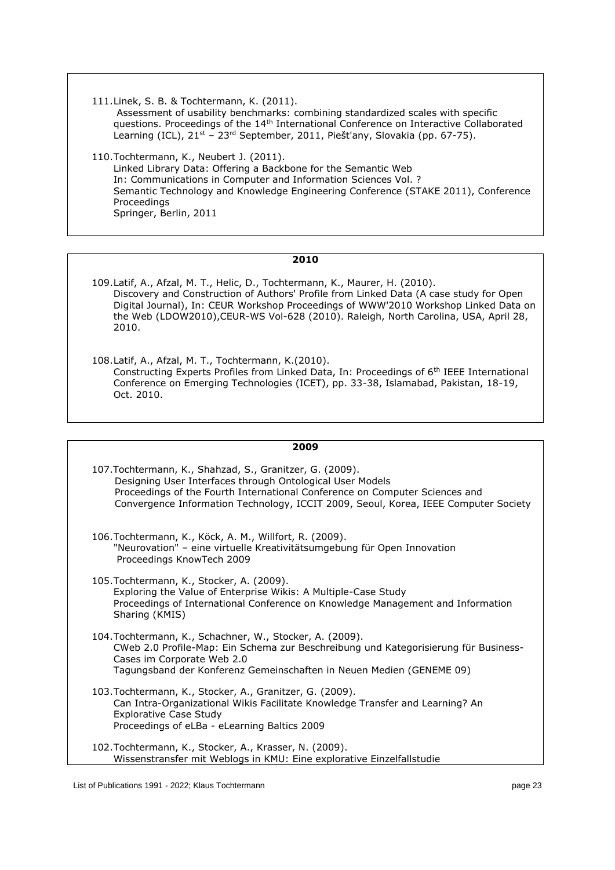111.Linek, S. B. & Tochtermann, K. (2011). Assessment of usability benchmarks: combining standardized scales with specific questions. Proceedings of the 14<sup>th</sup> International Conference on Interactive Collaborated Learning (ICL), 21<sup>st</sup> - 23<sup>rd</sup> September, 2011, Piešt'any, Slovakia (pp. 67-75).

110.Tochtermann, K., Neubert J. (2011). Linked Library Data: Offering a Backbone for the Semantic Web In: Communications in Computer and Information Sciences Vol. ? Semantic Technology and Knowledge Engineering Conference (STAKE 2011), Conference Proceedings Springer, Berlin, 2011

- 109.Latif, A., Afzal, M. T., Helic, D., Tochtermann, K., Maurer, H. (2010). Discovery and Construction of Authors' Profile from Linked Data (A case study for Open Digital Journal), In: CEUR Workshop Proceedings of WWW'2010 Workshop Linked Data on the Web (LDOW2010),CEUR-WS Vol-628 (2010). Raleigh, North Carolina, USA, April 28, 2010.
- 108.Latif, A., Afzal, M. T., Tochtermann, K.(2010). Constructing Experts Profiles from Linked Data, In: Proceedings of 6th IEEE International Conference on Emerging Technologies (ICET), pp. 33-38, Islamabad, Pakistan, 18-19, Oct. 2010.

| 2009                                                                                                                                                                                                                                                                                        |
|---------------------------------------------------------------------------------------------------------------------------------------------------------------------------------------------------------------------------------------------------------------------------------------------|
| 107. Tochtermann, K., Shahzad, S., Granitzer, G. (2009).<br>Designing User Interfaces through Ontological User Models<br>Proceedings of the Fourth International Conference on Computer Sciences and<br>Convergence Information Technology, ICCIT 2009, Seoul, Korea, IEEE Computer Society |
| 106. Tochtermann, K., Köck, A. M., Willfort, R. (2009).<br>"Neurovation" - eine virtuelle Kreativitätsumgebung für Open Innovation<br>Proceedings KnowTech 2009                                                                                                                             |
| 105. Tochtermann, K., Stocker, A. (2009).<br>Exploring the Value of Enterprise Wikis: A Multiple-Case Study<br>Proceedings of International Conference on Knowledge Management and Information<br>Sharing (KMIS)                                                                            |
| 104. Tochtermann, K., Schachner, W., Stocker, A. (2009).<br>CWeb 2.0 Profile-Map: Ein Schema zur Beschreibung und Kategorisierung für Business-<br>Cases im Corporate Web 2.0<br>Tagungsband der Konferenz Gemeinschaften in Neuen Medien (GENEME 09)                                       |
| 103. Tochtermann, K., Stocker, A., Granitzer, G. (2009).<br>Can Intra-Organizational Wikis Facilitate Knowledge Transfer and Learning? An<br><b>Explorative Case Study</b><br>Proceedings of eLBa - eLearning Baltics 2009                                                                  |
| 102. Tochtermann, K., Stocker, A., Krasser, N. (2009).<br>Wissenstransfer mit Weblogs in KMU: Eine explorative Einzelfallstudie                                                                                                                                                             |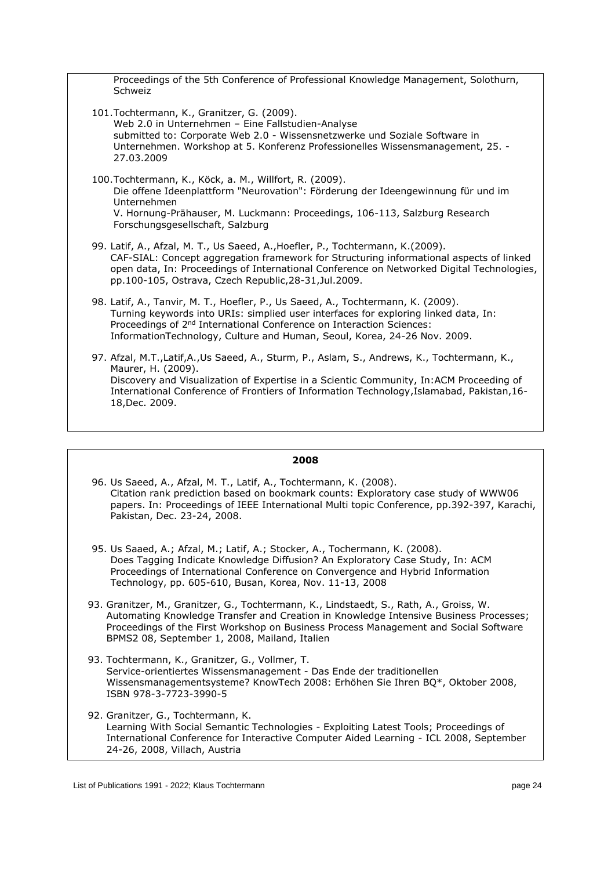Proceedings of the 5th Conference of Professional Knowledge Management, Solothurn, Schweiz

- 101.Tochtermann, K., Granitzer, G. (2009). Web 2.0 in Unternehmen – Eine Fallstudien-Analyse submitted to: Corporate Web 2.0 - Wissensnetzwerke und Soziale Software in Unternehmen. Workshop at 5. Konferenz Professionelles Wissensmanagement, 25. - 27.03.2009
- 100.Tochtermann, K., Köck, a. M., Willfort, R. (2009). Die offene Ideenplattform "Neurovation": Förderung der Ideengewinnung für und im Unternehmen V. Hornung-Prähauser, M. Luckmann: Proceedings, 106-113, Salzburg Research Forschungsgesellschaft, Salzburg
- 99. Latif, A., Afzal, M. T., Us Saeed, A.,Hoefler, P., Tochtermann, K.(2009). CAF-SIAL: Concept aggregation framework for Structuring informational aspects of linked open data, In: Proceedings of International Conference on Networked Digital Technologies, pp.100-105, Ostrava, Czech Republic,28-31,Jul.2009.
- 98. Latif, A., Tanvir, M. T., Hoefler, P., Us Saeed, A., Tochtermann, K. (2009). Turning keywords into URIs: simplied user interfaces for exploring linked data, In: Proceedings of 2nd International Conference on Interaction Sciences: InformationTechnology, Culture and Human, Seoul, Korea, 24-26 Nov. 2009.
- 97. Afzal, M.T.,Latif,A.,Us Saeed, A., Sturm, P., Aslam, S., Andrews, K., Tochtermann, K., Maurer, H. (2009). Discovery and Visualization of Expertise in a Scientic Community, In:ACM Proceeding of International Conference of Frontiers of Information Technology,Islamabad, Pakistan,16- 18,Dec. 2009.

- 96. Us Saeed, A., Afzal, M. T., Latif, A., Tochtermann, K. (2008). Citation rank prediction based on bookmark counts: Exploratory case study of WWW06 papers. In: Proceedings of IEEE International Multi topic Conference, pp.392-397, Karachi, Pakistan, Dec. 23-24, 2008.
- 95. Us Saaed, A.; Afzal, M.; Latif, A.; Stocker, A., Tochermann, K. (2008). Does Tagging Indicate Knowledge Diffusion? An Exploratory Case Study, In: ACM Proceedings of International Conference on Convergence and Hybrid Information Technology, pp. 605-610, Busan, Korea, Nov. 11-13, 2008
- 93. Granitzer, M., Granitzer, G., Tochtermann, K., Lindstaedt, S., Rath, A., Groiss, W. Automating Knowledge Transfer and Creation in Knowledge Intensive Business Processes; Proceedings of the First Workshop on Business Process Management and Social Software BPMS2 08, September 1, 2008, Mailand, Italien
- 93. Tochtermann, K., Granitzer, G., Vollmer, T. Service-orientiertes Wissensmanagement - Das Ende der traditionellen Wissensmanagementsysteme? KnowTech 2008: Erhöhen Sie Ihren BQ\*, Oktober 2008, ISBN 978-3-7723-3990-5
- 92. Granitzer, G., Tochtermann, K. Learning With Social Semantic Technologies - Exploiting Latest Tools; Proceedings of International Conference for Interactive Computer Aided Learning - ICL 2008, September 24-26, 2008, Villach, Austria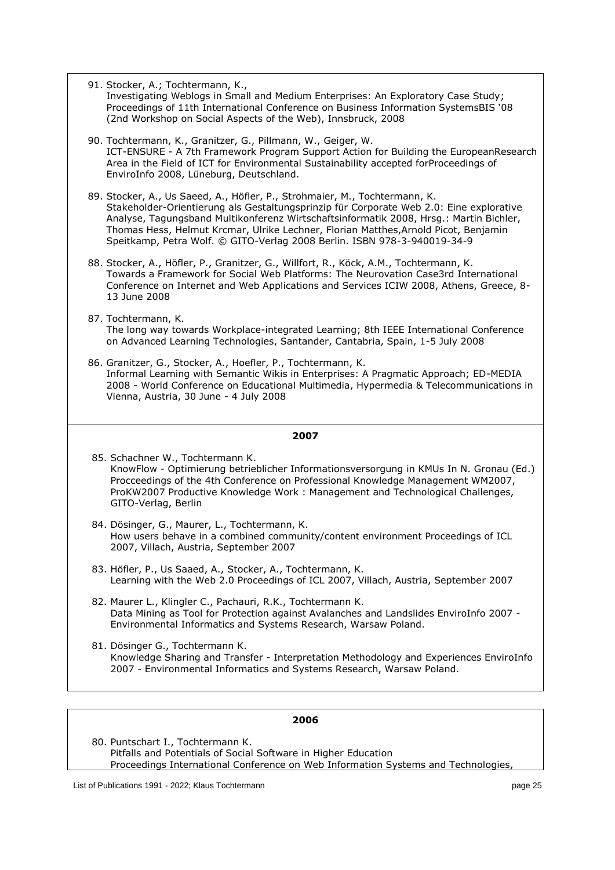| 91. Stocker, A.; Tochtermann, K.,<br>Investigating Weblogs in Small and Medium Enterprises: An Exploratory Case Study;<br>Proceedings of 11th International Conference on Business Information SystemsBIS '08<br>(2nd Workshop on Social Aspects of the Web), Innsbruck, 2008                                                                                                                                                      |
|------------------------------------------------------------------------------------------------------------------------------------------------------------------------------------------------------------------------------------------------------------------------------------------------------------------------------------------------------------------------------------------------------------------------------------|
| 90. Tochtermann, K., Granitzer, G., Pillmann, W., Geiger, W.<br>ICT-ENSURE - A 7th Framework Program Support Action for Building the EuropeanResearch<br>Area in the Field of ICT for Environmental Sustainability accepted forProceedings of<br>EnviroInfo 2008, Lüneburg, Deutschland.                                                                                                                                           |
| 89. Stocker, A., Us Saeed, A., Höfler, P., Strohmaier, M., Tochtermann, K.<br>Stakeholder-Orientierung als Gestaltungsprinzip für Corporate Web 2.0: Eine explorative<br>Analyse, Tagungsband Multikonferenz Wirtschaftsinformatik 2008, Hrsg.: Martin Bichler,<br>Thomas Hess, Helmut Krcmar, Ulrike Lechner, Florian Matthes, Arnold Picot, Benjamin<br>Speitkamp, Petra Wolf. © GITO-Verlag 2008 Berlin. ISBN 978-3-940019-34-9 |
| 88. Stocker, A., Höfler, P., Granitzer, G., Willfort, R., Köck, A.M., Tochtermann, K.<br>Towards a Framework for Social Web Platforms: The Neurovation Case3rd International<br>Conference on Internet and Web Applications and Services ICIW 2008, Athens, Greece, 8-<br>13 June 2008                                                                                                                                             |
| 87. Tochtermann, K.<br>The long way towards Workplace-integrated Learning; 8th IEEE International Conference<br>on Advanced Learning Technologies, Santander, Cantabria, Spain, 1-5 July 2008                                                                                                                                                                                                                                      |
| 86. Granitzer, G., Stocker, A., Hoefler, P., Tochtermann, K.<br>Informal Learning with Semantic Wikis in Enterprises: A Pragmatic Approach; ED-MEDIA<br>2008 - World Conference on Educational Multimedia, Hypermedia & Telecommunications in<br>Vienna, Austria, 30 June - 4 July 2008                                                                                                                                            |
| 2007                                                                                                                                                                                                                                                                                                                                                                                                                               |
| 85. Schachner W., Tochtermann K.<br>KnowFlow - Optimierung betrieblicher Informationsversorgung in KMUs In N. Gronau (Ed.)<br>Procceedings of the 4th Conference on Professional Knowledge Management WM2007,<br>ProKW2007 Productive Knowledge Work: Management and Technological Challenges,<br>GITO-Verlag, Berlin                                                                                                              |
| 84. Dösinger, G., Maurer, L., Tochtermann, K.<br>How users behave in a combined community/content environment Proceedings of ICL<br>2007, Villach, Austria, September 2007                                                                                                                                                                                                                                                         |
| 83. Höfler, P., Us Saaed, A., Stocker, A., Tochtermann, K.<br>Learning with the Web 2.0 Proceedings of ICL 2007, Villach, Austria, September 2007                                                                                                                                                                                                                                                                                  |
| 82. Maurer L., Klingler C., Pachauri, R.K., Tochtermann K.<br>Data Mining as Tool for Protection against Avalanches and Landslides EnviroInfo 2007 -<br>Environmental Informatics and Systems Research, Warsaw Poland.                                                                                                                                                                                                             |
| 81. Dösinger G., Tochtermann K.<br>Knowledge Sharing and Transfer - Interpretation Methodology and Experiences EnviroInfo<br>2007 - Environmental Informatics and Systems Research, Warsaw Poland.                                                                                                                                                                                                                                 |
|                                                                                                                                                                                                                                                                                                                                                                                                                                    |

80. Puntschart I., Tochtermann K. Pitfalls and Potentials of Social Software in Higher Education Proceedings International Conference on Web Information Systems and Technologies,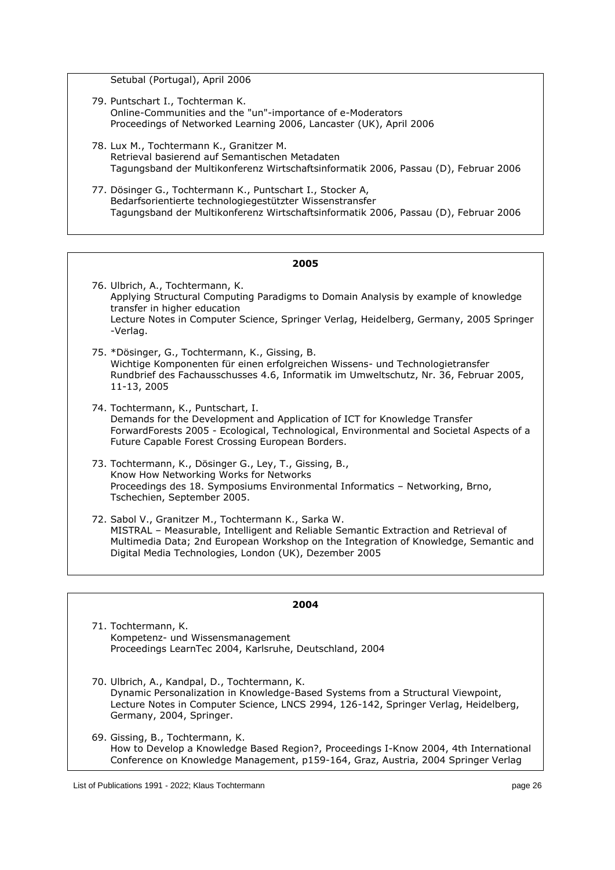Setubal (Portugal), April 2006

- 79. Puntschart I., Tochterman K. Online-Communities and the "un"-importance of e-Moderators Proceedings of Networked Learning 2006, Lancaster (UK), April 2006
- 78. Lux M., Tochtermann K., Granitzer M. Retrieval basierend auf Semantischen Metadaten Tagungsband der Multikonferenz Wirtschaftsinformatik 2006, Passau (D), Februar 2006
- 77. Dösinger G., Tochtermann K., Puntschart I., Stocker A, Bedarfsorientierte technologiegestützter Wissenstransfer Tagungsband der Multikonferenz Wirtschaftsinformatik 2006, Passau (D), Februar 2006

| 2005                                                                                                                                                                                                                                                                                          |  |
|-----------------------------------------------------------------------------------------------------------------------------------------------------------------------------------------------------------------------------------------------------------------------------------------------|--|
| 76. Ulbrich, A., Tochtermann, K.<br>Applying Structural Computing Paradigms to Domain Analysis by example of knowledge<br>transfer in higher education<br>Lecture Notes in Computer Science, Springer Verlag, Heidelberg, Germany, 2005 Springer<br>-Verlag.                                  |  |
| 75. *Dösinger, G., Tochtermann, K., Gissing, B.<br>Wichtige Komponenten für einen erfolgreichen Wissens- und Technologietransfer<br>Rundbrief des Fachausschusses 4.6, Informatik im Umweltschutz, Nr. 36, Februar 2005,<br>11-13, 2005                                                       |  |
| 74. Tochtermann, K., Puntschart, I.<br>Demands for the Development and Application of ICT for Knowledge Transfer<br>ForwardForests 2005 - Ecological, Technological, Environmental and Societal Aspects of a<br>Future Capable Forest Crossing European Borders.                              |  |
| 73. Tochtermann, K., Dösinger G., Ley, T., Gissing, B.,<br>Know How Networking Works for Networks<br>Proceedings des 18. Symposiums Environmental Informatics - Networking, Brno,<br>Tschechien, September 2005.                                                                              |  |
| 72. Sabol V., Granitzer M., Tochtermann K., Sarka W.<br>MISTRAL – Measurable, Intelligent and Reliable Semantic Extraction and Retrieval of<br>Multimedia Data; 2nd European Workshop on the Integration of Knowledge, Semantic and<br>Digital Media Technologies, London (UK), Dezember 2005 |  |

#### **2004**

71. Tochtermann, K. Kompetenz- und Wissensmanagement Proceedings LearnTec 2004, Karlsruhe, Deutschland, 2004

70. Ulbrich, A., Kandpal, D., Tochtermann, K. Dynamic Personalization in Knowledge-Based Systems from a Structural Viewpoint, Lecture Notes in Computer Science, LNCS 2994, 126-142, Springer Verlag, Heidelberg, Germany, 2004, Springer.

69. Gissing, B., Tochtermann, K. How to Develop a Knowledge Based Region?, Proceedings I-Know 2004, 4th International Conference on Knowledge Management, p159-164, Graz, Austria, 2004 Springer Verlag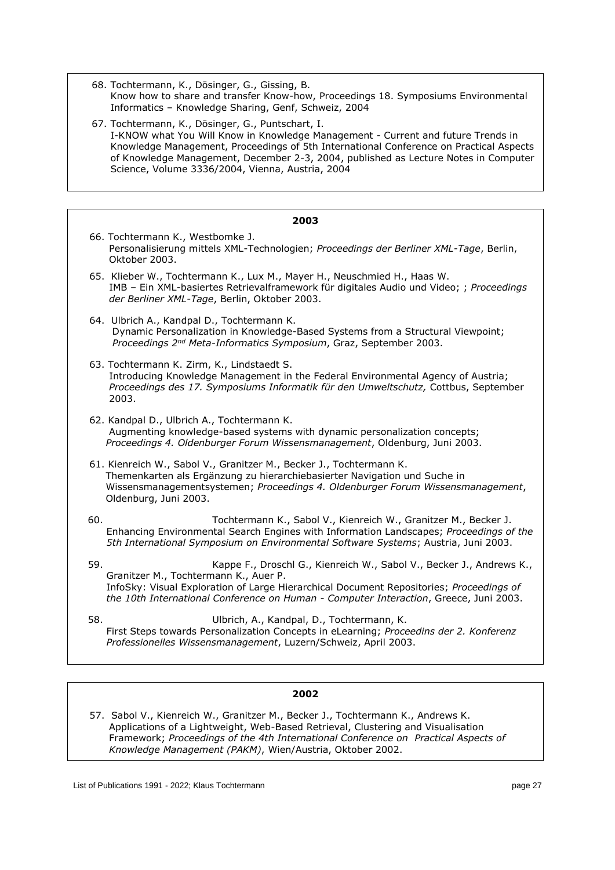68. Tochtermann, K., Dösinger, G., Gissing, B. Know how to share and transfer Know-how, Proceedings 18. Symposiums Environmental Informatics – Knowledge Sharing, Genf, Schweiz, 2004

67. Tochtermann, K., Dösinger, G., Puntschart, I. I-KNOW what You Will Know in Knowledge Management - Current and future Trends in Knowledge Management, Proceedings of 5th International Conference on Practical Aspects of Knowledge Management, December 2-3, 2004, published as Lecture Notes in Computer Science, Volume 3336/2004, Vienna, Austria, 2004

| 2003                                                                                                                                                                                                                                                                                                     |  |
|----------------------------------------------------------------------------------------------------------------------------------------------------------------------------------------------------------------------------------------------------------------------------------------------------------|--|
| 66. Tochtermann K., Westbomke J.<br>Personalisierung mittels XML-Technologien; Proceedings der Berliner XML-Tage, Berlin,<br>Oktober 2003.                                                                                                                                                               |  |
| 65. Klieber W., Tochtermann K., Lux M., Mayer H., Neuschmied H., Haas W.<br>IMB - Ein XML-basiertes Retrievalframework für digitales Audio und Video; ; Proceedings<br>der Berliner XML-Tage, Berlin, Oktober 2003.                                                                                      |  |
| 64. Ulbrich A., Kandpal D., Tochtermann K.<br>Dynamic Personalization in Knowledge-Based Systems from a Structural Viewpoint;<br>Proceedings 2 <sup>nd</sup> Meta-Informatics Symposium, Graz, September 2003.                                                                                           |  |
| 63. Tochtermann K. Zirm, K., Lindstaedt S.<br>Introducing Knowledge Management in the Federal Environmental Agency of Austria;<br>Proceedings des 17. Symposiums Informatik für den Umweltschutz, Cottbus, September<br>2003.                                                                            |  |
| 62. Kandpal D., Ulbrich A., Tochtermann K.<br>Augmenting knowledge-based systems with dynamic personalization concepts;<br>Proceedings 4. Oldenburger Forum Wissensmanagement, Oldenburg, Juni 2003.                                                                                                     |  |
| 61. Kienreich W., Sabol V., Granitzer M., Becker J., Tochtermann K.<br>Themenkarten als Ergänzung zu hierarchiebasierter Navigation und Suche in<br>Wissensmanagementsystemen; Proceedings 4. Oldenburger Forum Wissensmanagement,<br>Oldenburg, Juni 2003.                                              |  |
| 60.<br>Tochtermann K., Sabol V., Kienreich W., Granitzer M., Becker J.<br>Enhancing Environmental Search Engines with Information Landscapes; Proceedings of the<br>5th International Symposium on Environmental Software Systems; Austria, Juni 2003.                                                   |  |
| 59.<br>Kappe F., Droschl G., Kienreich W., Sabol V., Becker J., Andrews K.,<br>Granitzer M., Tochtermann K., Auer P.<br>InfoSky: Visual Exploration of Large Hierarchical Document Repositories; Proceedings of<br>the 10th International Conference on Human - Computer Interaction, Greece, Juni 2003. |  |
| 58.<br>Ulbrich, A., Kandpal, D., Tochtermann, K.<br>First Steps towards Personalization Concepts in eLearning; Proceedins der 2. Konferenz<br>Professionelles Wissensmanagement, Luzern/Schweiz, April 2003.                                                                                             |  |

## **2002**

 57. Sabol V., Kienreich W., Granitzer M., Becker J., Tochtermann K., Andrews K. Applications of a Lightweight, Web-Based Retrieval, Clustering and Visualisation Framework; *Proceedings of the 4th International Conference on Practical Aspects of Knowledge Management (PAKM)*, Wien/Austria, Oktober 2002.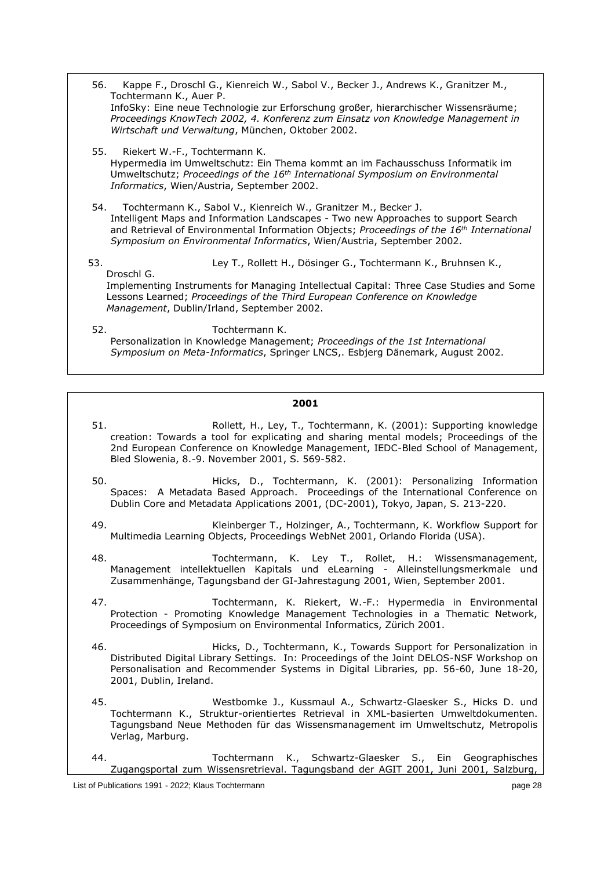56. Kappe F., Droschl G., Kienreich W., Sabol V., Becker J., Andrews K., Granitzer M., Tochtermann K., Auer P. InfoSky: Eine neue Technologie zur Erforschung großer, hierarchischer Wissensräume; *Proceedings KnowTech 2002, 4. Konferenz zum Einsatz von Knowledge Management in Wirtschaft und Verwaltung*, München, Oktober 2002. 55. Riekert W.-F., Tochtermann K. Hypermedia im Umweltschutz: Ein Thema kommt an im Fachausschuss Informatik im Umweltschutz; *Proceedings of the 16th International Symposium on Environmental Informatics*, Wien/Austria, September 2002. 54. Tochtermann K., Sabol V., Kienreich W., Granitzer M., Becker J. Intelligent Maps and Information Landscapes - Two new Approaches to support Search and Retrieval of Environmental Information Objects; *Proceedings of the 16th International Symposium on Environmental Informatics*, Wien/Austria, September 2002. 53. Ley T., Rollett H., Dösinger G., Tochtermann K., Bruhnsen K., Droschl G. Implementing Instruments for Managing Intellectual Capital: Three Case Studies and Some Lessons Learned; *Proceedings of the Third European Conference on Knowledge Management*, Dublin/Irland, September 2002. 52. Tochtermann K. Personalization in Knowledge Management; *Proceedings of the 1st International Symposium on Meta-Informatics*, Springer LNCS,. Esbjerg Dänemark, August 2002.

- 51. Rollett, H., Ley, T., Tochtermann, K. (2001): Supporting knowledge creation: Towards a tool for explicating and sharing mental models; Proceedings of the 2nd European Conference on Knowledge Management, IEDC-Bled School of Management, Bled Slowenia, 8.-9. November 2001, S. 569-582.
- 50. Hicks, D., Tochtermann, K. (2001): Personalizing Information Spaces: A Metadata Based Approach. Proceedings of the International Conference on Dublin Core and Metadata Applications 2001, (DC-2001), Tokyo, Japan, S. 213-220.
- 49. Kleinberger T., Holzinger, A., Tochtermann, K. Workflow Support for Multimedia Learning Objects, Proceedings WebNet 2001, Orlando Florida (USA).
- 48. Tochtermann, K. Ley T., Rollet, H.: Wissensmanagement, Management intellektuellen Kapitals und eLearning - Alleinstellungsmerkmale und Zusammenhänge, Tagungsband der GI-Jahrestagung 2001, Wien, September 2001.
- 47. Tochtermann, K. Riekert, W.-F.: Hypermedia in Environmental Protection - Promoting Knowledge Management Technologies in a Thematic Network, Proceedings of Symposium on Environmental Informatics, Zürich 2001.
- 46. Hicks, D., Tochtermann, K., Towards Support for Personalization in Distributed Digital Library Settings. In: Proceedings of the Joint DELOS-NSF Workshop on Personalisation and Recommender Systems in Digital Libraries, pp. 56-60, June 18-20, 2001, Dublin, Ireland.
- 45. Westbomke J., Kussmaul A., Schwartz-Glaesker S., Hicks D. und Tochtermann K., Struktur-orientiertes Retrieval in XML-basierten Umweltdokumenten. Tagungsband Neue Methoden für das Wissensmanagement im Umweltschutz, Metropolis Verlag, Marburg.
- 44. Tochtermann K., Schwartz-Glaesker S., Ein Geographisches Zugangsportal zum Wissensretrieval. Tagungsband der AGIT 2001, Juni 2001, Salzburg,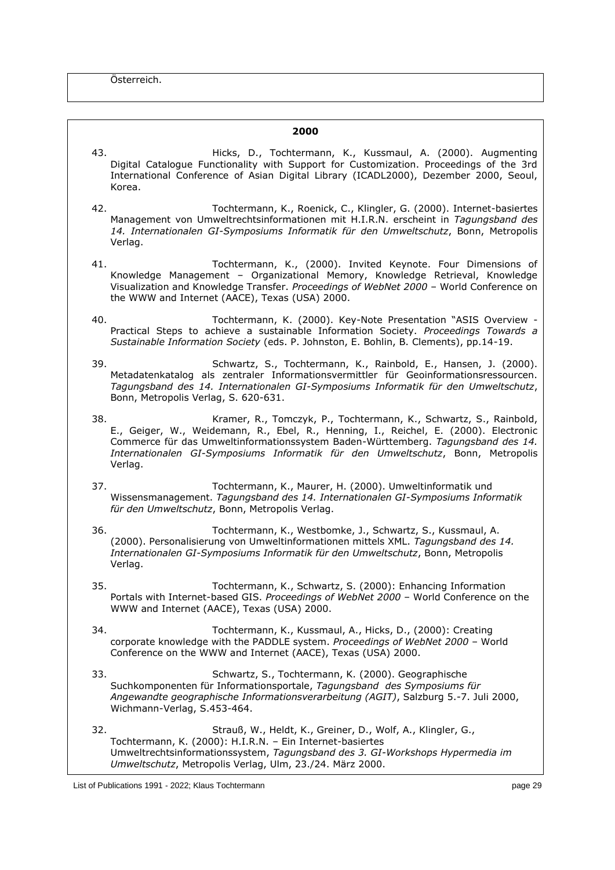Österreich.

- 43. Hicks, D., Tochtermann, K., Kussmaul, A. (2000). Augmenting Digital Catalogue Functionality with Support for Customization. Proceedings of the 3rd International Conference of Asian Digital Library (ICADL2000), Dezember 2000, Seoul, Korea.
- 42. Tochtermann, K., Roenick, C., Klingler, G. (2000). Internet-basiertes Management von Umweltrechtsinformationen mit H.I.R.N. erscheint in *Tagungsband des 14. Internationalen GI-Symposiums Informatik für den Umweltschutz*, Bonn, Metropolis Verlag.
- 41. Tochtermann, K., (2000). Invited Keynote. Four Dimensions of Knowledge Management – Organizational Memory, Knowledge Retrieval, Knowledge Visualization and Knowledge Transfer. *Proceedings of WebNet 2000* – World Conference on the WWW and Internet (AACE), Texas (USA) 2000.
- 40. Tochtermann, K. (2000). Key-Note Presentation "ASIS Overview Practical Steps to achieve a sustainable Information Society. *Proceedings Towards a Sustainable Information Society* (eds. P. Johnston, E. Bohlin, B. Clements), pp.14-19.
- 39. Schwartz, S., Tochtermann, K., Rainbold, E., Hansen, J. (2000). Metadatenkatalog als zentraler Informationsvermittler für Geoinformationsressourcen. *Tagungsband des 14. Internationalen GI-Symposiums Informatik für den Umweltschutz*, Bonn, Metropolis Verlag, S. 620-631.
- 38. Kramer, R., Tomczyk, P., Tochtermann, K., Schwartz, S., Rainbold, E., Geiger, W., Weidemann, R., Ebel, R., Henning, I., Reichel, E. (2000). Electronic Commerce für das Umweltinformationssystem Baden-Württemberg. *Tagungsband des 14. Internationalen GI-Symposiums Informatik für den Umweltschutz*, Bonn, Metropolis Verlag.
- 37. Tochtermann, K., Maurer, H. (2000). Umweltinformatik und Wissensmanagement. *Tagungsband des 14. Internationalen GI-Symposiums Informatik für den Umweltschutz*, Bonn, Metropolis Verlag.
- 36. Tochtermann, K., Westbomke, J., Schwartz, S., Kussmaul, A. (2000). Personalisierung von Umweltinformationen mittels XML. *Tagungsband des 14. Internationalen GI-Symposiums Informatik für den Umweltschutz*, Bonn, Metropolis Verlag.
- 35. Tochtermann, K., Schwartz, S. (2000): Enhancing Information Portals with Internet-based GIS. *Proceedings of WebNet 2000* – World Conference on the WWW and Internet (AACE), Texas (USA) 2000.
- 34. Tochtermann, K., Kussmaul, A., Hicks, D., (2000): Creating corporate knowledge with the PADDLE system. *Proceedings of WebNet 2000* – World Conference on the WWW and Internet (AACE), Texas (USA) 2000.
- 33. Schwartz, S., Tochtermann, K. (2000). Geographische Suchkomponenten für Informationsportale, *Tagungsband des Symposiums für Angewandte geographische Informationsverarbeitung (AGIT)*, Salzburg 5.-7. Juli 2000, Wichmann-Verlag, S.453-464.
- 32. Strauß, W., Heldt, K., Greiner, D., Wolf, A., Klingler, G., Tochtermann, K. (2000): H.I.R.N. – Ein Internet-basiertes Umweltrechtsinformationssystem, *Tagungsband des 3. GI-Workshops Hypermedia im Umweltschutz*, Metropolis Verlag, Ulm, 23./24. März 2000.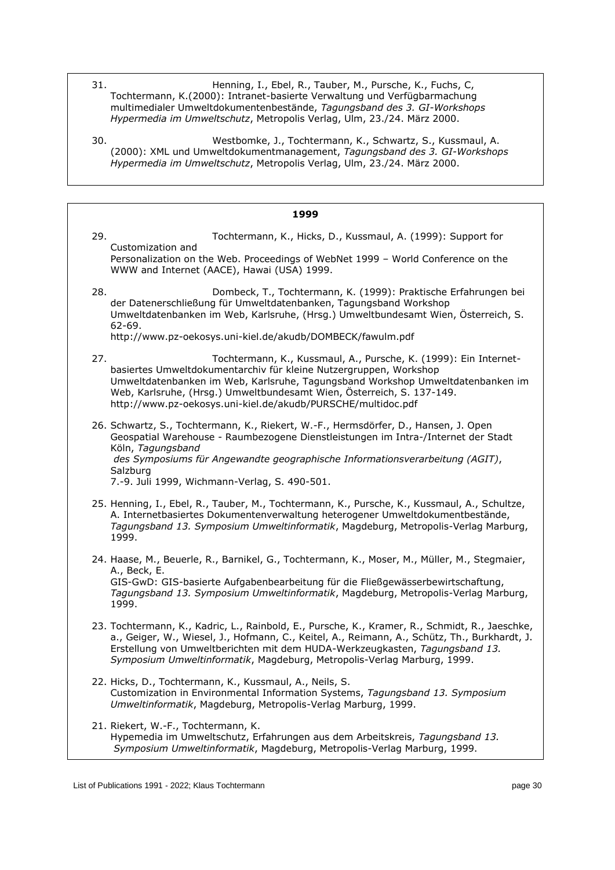- 31. Henning, I., Ebel, R., Tauber, M., Pursche, K., Fuchs, C, Tochtermann, K.(2000): Intranet-basierte Verwaltung und Verfügbarmachung multimedialer Umweltdokumentenbestände, *Tagungsband des 3. GI-Workshops Hypermedia im Umweltschutz*, Metropolis Verlag, Ulm, 23./24. März 2000.
- 30. Westbomke, J., Tochtermann, K., Schwartz, S., Kussmaul, A. (2000): XML und Umweltdokumentmanagement, *Tagungsband des 3. GI-Workshops Hypermedia im Umweltschutz*, Metropolis Verlag, Ulm, 23./24. März 2000.

| 1999 |                                                                                                                                                                                                                                                                                                                                                                  |
|------|------------------------------------------------------------------------------------------------------------------------------------------------------------------------------------------------------------------------------------------------------------------------------------------------------------------------------------------------------------------|
| 29.  | Tochtermann, K., Hicks, D., Kussmaul, A. (1999): Support for                                                                                                                                                                                                                                                                                                     |
|      | Customization and<br>Personalization on the Web. Proceedings of WebNet 1999 - World Conference on the<br>WWW and Internet (AACE), Hawai (USA) 1999.                                                                                                                                                                                                              |
| 28.  | Dombeck, T., Tochtermann, K. (1999): Praktische Erfahrungen bei<br>der Datenerschließung für Umweltdatenbanken, Tagungsband Workshop<br>Umweltdatenbanken im Web, Karlsruhe, (Hrsg.) Umweltbundesamt Wien, Österreich, S.<br>$62 - 69.$<br>http://www.pz-oekosys.uni-kiel.de/akudb/DOMBECK/fawulm.pdf                                                            |
| 27.  | Tochtermann, K., Kussmaul, A., Pursche, K. (1999): Ein Internet-<br>basiertes Umweltdokumentarchiv für kleine Nutzergruppen, Workshop<br>Umweltdatenbanken im Web, Karlsruhe, Tagungsband Workshop Umweltdatenbanken im<br>Web, Karlsruhe, (Hrsg.) Umweltbundesamt Wien, Österreich, S. 137-149.<br>http://www.pz-oekosys.uni-kiel.de/akudb/PURSCHE/multidoc.pdf |
|      | 26. Schwartz, S., Tochtermann, K., Riekert, W.-F., Hermsdörfer, D., Hansen, J. Open<br>Geospatial Warehouse - Raumbezogene Dienstleistungen im Intra-/Internet der Stadt<br>Köln, Tagungsband<br>des Symposiums für Angewandte geographische Informationsverarbeitung (AGIT),<br>Salzburg<br>7.-9. Juli 1999, Wichmann-Verlag, S. 490-501.                       |
|      | 25. Henning, I., Ebel, R., Tauber, M., Tochtermann, K., Pursche, K., Kussmaul, A., Schultze,<br>A. Internetbasiertes Dokumentenverwaltung heterogener Umweltdokumentbestände,<br>Tagungsband 13. Symposium Umweltinformatik, Magdeburg, Metropolis-Verlag Marburg,<br>1999.                                                                                      |
|      | 24. Haase, M., Beuerle, R., Barnikel, G., Tochtermann, K., Moser, M., Müller, M., Stegmaier,<br>A., Beck, E.<br>GIS-GwD: GIS-basierte Aufgabenbearbeitung für die Fließgewässerbewirtschaftung,<br>Tagungsband 13. Symposium Umweltinformatik, Magdeburg, Metropolis-Verlag Marburg,<br>1999.                                                                    |
|      | 23. Tochtermann, K., Kadric, L., Rainbold, E., Pursche, K., Kramer, R., Schmidt, R., Jaeschke,<br>a., Geiger, W., Wiesel, J., Hofmann, C., Keitel, A., Reimann, A., Schütz, Th., Burkhardt, J.<br>Erstellung von Umweltberichten mit dem HUDA-Werkzeugkasten, Tagungsband 13.<br>Symposium Umweltinformatik, Magdeburg, Metropolis-Verlag Marburg, 1999.         |
|      | 22. Hicks, D., Tochtermann, K., Kussmaul, A., Neils, S.<br>Customization in Environmental Information Systems, Tagungsband 13. Symposium<br>Umweltinformatik, Magdeburg, Metropolis-Verlag Marburg, 1999.                                                                                                                                                        |
|      | 21. Riekert, W.-F., Tochtermann, K.<br>Hypemedia im Umweltschutz, Erfahrungen aus dem Arbeitskreis, Tagungsband 13.<br>Symposium Umweltinformatik, Magdeburg, Metropolis-Verlag Marburg, 1999.                                                                                                                                                                   |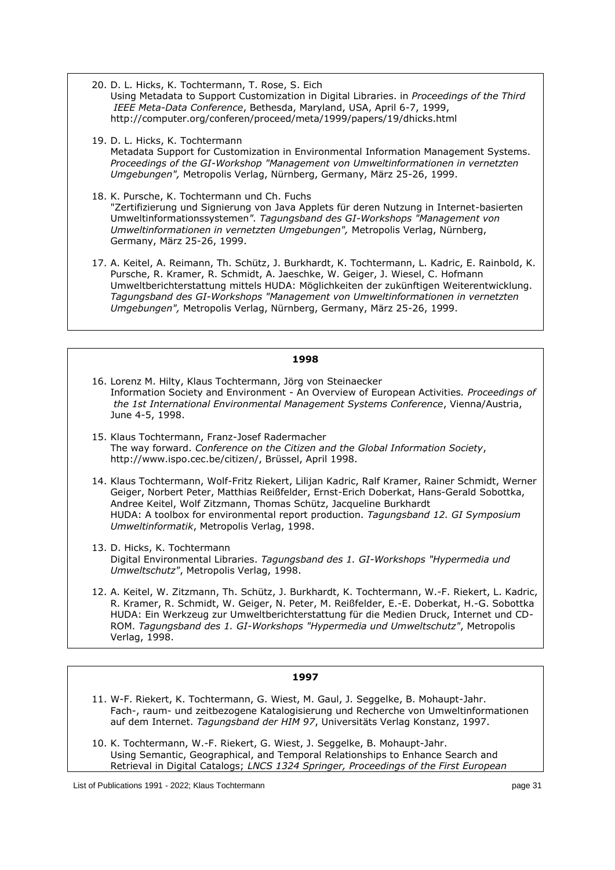- 20. D. L. Hicks, K. Tochtermann, T. Rose, S. Eich Using Metadata to Support Customization in Digital Libraries. in *Proceedings of the Third IEEE Meta-Data Conference*, Bethesda, Maryland, USA, April 6-7, 1999, http://computer.org/conferen/proceed/meta/1999/papers/19/dhicks.html
- 19. D. L. Hicks, K. Tochtermann Metadata Support for Customization in Environmental Information Management Systems. *Proceedings of the GI-Workshop "Management von Umweltinformationen in vernetzten Umgebungen",* Metropolis Verlag, Nürnberg, Germany, März 25-26, 1999.
- 18. K. Pursche, K. Tochtermann und Ch. Fuchs "Zertifizierung und Signierung von Java Applets für deren Nutzung in Internet-basierten Umweltinformationssystemen*". Tagungsband des GI-Workshops "Management von Umweltinformationen in vernetzten Umgebungen",* Metropolis Verlag, Nürnberg, Germany, März 25-26, 1999.
- 17. A. Keitel, A. Reimann, Th. Schütz, J. Burkhardt, K. Tochtermann, L. Kadric, E. Rainbold, K. Pursche, R. Kramer, R. Schmidt, A. Jaeschke, W. Geiger, J. Wiesel, C. Hofmann Umweltberichterstattung mittels HUDA: Möglichkeiten der zukünftigen Weiterentwicklung. *Tagungsband des GI-Workshops "Management von Umweltinformationen in vernetzten Umgebungen",* Metropolis Verlag, Nürnberg, Germany, März 25-26, 1999.

- 16. Lorenz M. Hilty, Klaus Tochtermann, Jörg von Steinaecker Information Society and Environment - An Overview of European Activities*. Proceedings of the 1st International Environmental Management Systems Conference*, Vienna/Austria, June 4-5, 1998.
- 15. Klaus Tochtermann, Franz-Josef Radermacher The way forward. *Conference on the Citizen and the Global Information Society*, http://www.ispo.cec.be/citizen/, Brüssel, April 1998.
- 14. Klaus Tochtermann, Wolf-Fritz Riekert, Lilijan Kadric, Ralf Kramer, Rainer Schmidt, Werner Geiger, Norbert Peter, Matthias Reißfelder, Ernst-Erich Doberkat, Hans-Gerald Sobottka, Andree Keitel, Wolf Zitzmann, Thomas Schütz, Jacqueline Burkhardt HUDA: A toolbox for environmental report production. *Tagungsband 12. GI Symposium Umweltinformatik*, Metropolis Verlag, 1998.
- 13. D. Hicks, K. Tochtermann Digital Environmental Libraries. *Tagungsband des 1. GI-Workshops "Hypermedia und Umweltschutz"*, Metropolis Verlag, 1998.
- 12. A. Keitel, W. Zitzmann, Th. Schütz, J. Burkhardt, K. Tochtermann, W.-F. Riekert, L. Kadric, R. Kramer, R. Schmidt, W. Geiger, N. Peter, M. Reißfelder, E.-E. Doberkat, H.-G. Sobottka HUDA: Ein Werkzeug zur Umweltberichterstattung für die Medien Druck, Internet und CD-ROM. *Tagungsband des 1. GI-Workshops "Hypermedia und Umweltschutz"*, Metropolis Verlag, 1998.

- 11. W-F. Riekert, K. Tochtermann, G. Wiest, M. Gaul, J. Seggelke, B. Mohaupt-Jahr. Fach-, raum- und zeitbezogene Katalogisierung und Recherche von Umweltinformationen auf dem Internet. *Tagungsband der HIM 97*, Universitäts Verlag Konstanz, 1997.
- 10. K. Tochtermann, W.-F. Riekert, G. Wiest, J. Seggelke, B. Mohaupt-Jahr. Using Semantic, Geographical, and Temporal Relationships to Enhance Search and Retrieval in Digital Catalogs; *LNCS 1324 Springer, Proceedings of the First European*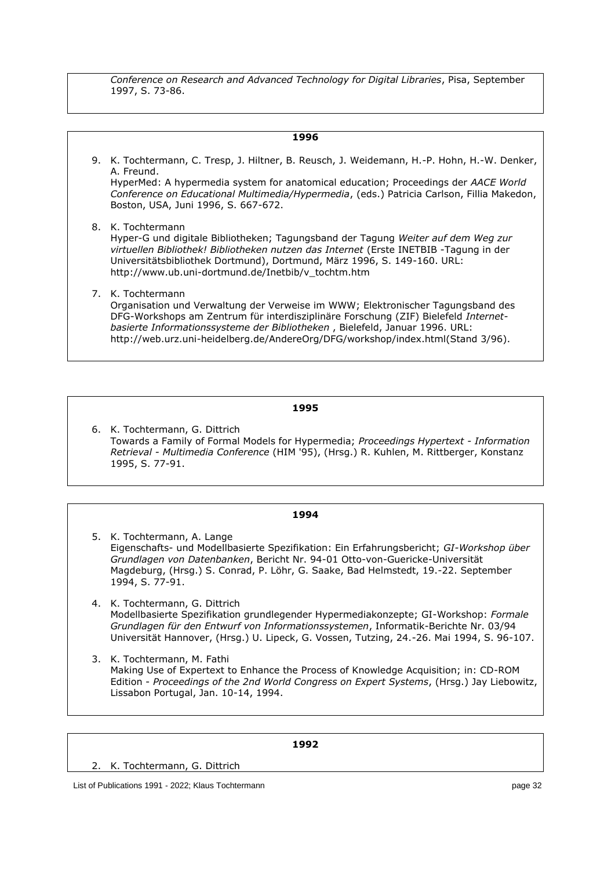*Conference on Research and Advanced Technology for Digital Libraries*, Pisa, September 1997, S. 73-86.

| 1996 |                                                                                                                                                                                                                                                                                                                                                              |  |  |  |
|------|--------------------------------------------------------------------------------------------------------------------------------------------------------------------------------------------------------------------------------------------------------------------------------------------------------------------------------------------------------------|--|--|--|
|      | 9. K. Tochtermann, C. Tresp, J. Hiltner, B. Reusch, J. Weidemann, H.-P. Hohn, H.-W. Denker,<br>A. Freund.<br>HyperMed: A hypermedia system for anatomical education; Proceedings der AACE World<br>Conference on Educational Multimedia/Hypermedia, (eds.) Patricia Carlson, Fillia Makedon,<br>Boston, USA, Juni 1996, S. 667-672.                          |  |  |  |
|      | 8. K. Tochtermann<br>Hyper-G und digitale Bibliotheken; Tagungsband der Tagung Weiter auf dem Weg zur<br>virtuellen Bibliothek! Bibliotheken nutzen das Internet (Erste INETBIB -Tagung in der<br>Universitätsbibliothek Dortmund), Dortmund, März 1996, S. 149-160. URL:<br>http://www.ub.uni-dortmund.de/Inetbib/v tochtm.htm                              |  |  |  |
|      | 7. K. Tochtermann<br>Organisation und Verwaltung der Verweise im WWW; Elektronischer Tagungsband des<br>DFG-Workshops am Zentrum für interdisziplinäre Forschung (ZIF) Bielefeld Internet-<br>basierte Informationssysteme der Bibliotheken, Bielefeld, Januar 1996. URL:<br>http://web.urz.uni-heidelberg.de/AndereOrg/DFG/workshop/index.html(Stand 3/96). |  |  |  |

#### **1995**

6. K. Tochtermann, G. Dittrich Towards a Family of Formal Models for Hypermedia; *Proceedings Hypertext - Information Retrieval - Multimedia Conference* (HIM '95), (Hrsg.) R. Kuhlen, M. Rittberger, Konstanz 1995, S. 77-91.

#### **1994**

5. K. Tochtermann, A. Lange Eigenschafts- und Modellbasierte Spezifikation: Ein Erfahrungsbericht; *GI-Workshop über Grundlagen von Datenbanken*, Bericht Nr. 94-01 Otto-von-Guericke-Universität Magdeburg, (Hrsg.) S. Conrad, P. Löhr, G. Saake, Bad Helmstedt, 19.-22. September 1994, S. 77-91.

4. K. Tochtermann, G. Dittrich Modellbasierte Spezifikation grundlegender Hypermediakonzepte; GI-Workshop: *Formale Grundlagen für den Entwurf von Informationssystemen*, Informatik-Berichte Nr. 03/94 Universität Hannover, (Hrsg.) U. Lipeck, G. Vossen, Tutzing, 24.-26. Mai 1994, S. 96-107.

3. K. Tochtermann, M. Fathi Making Use of Expertext to Enhance the Process of Knowledge Acquisition; in: CD-ROM Edition - *Proceedings of the 2nd World Congress on Expert Systems*, (Hrsg.) Jay Liebowitz, Lissabon Portugal, Jan. 10-14, 1994.

|                                                     | 1992 |         |
|-----------------------------------------------------|------|---------|
| 2. K. Tochtermann, G. Dittrich                      |      |         |
| List of Publications 1991 - 2022; Klaus Tochtermann |      | page 32 |